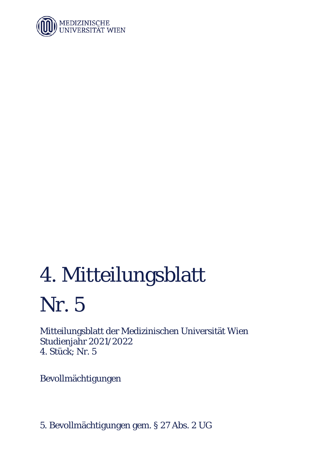

# 4. Mitteilungsblatt Nr. 5

Mitteilungsblatt der Medizinischen Universität Wien Studienjahr 2021/2022 4. Stück; Nr. 5

Bevollmächtigungen

5. Bevollmächtigungen gem. § 27 Abs. 2 UG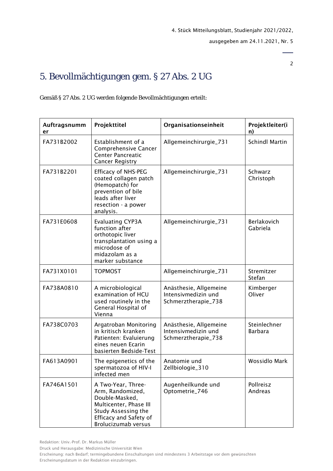2

# 5. Bevollmächtigungen gem. § 27 Abs. 2 UG

Gemäß § 27 Abs. 2 UG werden folgende Bevollmächtigungen erteilt:

| Auftragsnumm<br>er | Projekttitel                                                                                                                                               | Organisationseinheit                                                 | Projektleiter(i<br>n)          |
|--------------------|------------------------------------------------------------------------------------------------------------------------------------------------------------|----------------------------------------------------------------------|--------------------------------|
| FA731B2002         | Establishment of a<br>Comprehensive Cancer<br><b>Center Pancreatic</b><br><b>Cancer Registry</b>                                                           | Allgemeinchirurgie_731                                               | <b>Schindl Martin</b>          |
| FA731B2201         | <b>Efficacy of NHS-PEG</b><br>coated collagen patch<br>(Hemopatch) for<br>prevention of bile<br>leads after liver<br>resection - a power<br>analysis.      | Allgemeinchirurgie_731                                               | Schwarz<br>Christoph           |
| FA731E0608         | <b>Evaluating CYP3A</b><br>function after<br>orthotopic liver<br>transplantation using a<br>microdose of<br>midazolam as a<br>marker substance             | Allgemeinchirurgie_731                                               | Berlakovich<br>Gabriela        |
| FA731X0101         | <b>TOPMOST</b>                                                                                                                                             | Allgemeinchirurgie_731                                               | Stremitzer<br>Stefan           |
| FA738A0810         | A microbiological<br>examination of HCU<br>used routinely in the<br>General Hospital of<br>Vienna                                                          | Anästhesie, Allgemeine<br>Intensivmedizin und<br>Schmerztherapie_738 | Kimberger<br>Oliver            |
| FA738C0703         | Argatroban Monitoring<br>in kritisch kranken<br>Patienten: Evaluierung<br>eines neuen Ecarin<br>basierten Bedside-Test                                     | Anästhesie, Allgemeine<br>Intensivmedizin und<br>Schmerztherapie_738 | Steinlechner<br><b>Barbara</b> |
| FA613A0901         | The epigenetics of the<br>spermatozoa of HIV-I<br>infected men                                                                                             | Anatomie und<br>Zellbiologie_310                                     | <b>Wossidlo Mark</b>           |
| FA746A1501         | A Two-Year, Three-<br>Arm, Randomized,<br>Double-Masked,<br>Multicenter, Phase III<br>Study Assessing the<br>Efficacy and Safety of<br>Brolucizumab versus | Augenheilkunde und<br>Optometrie_746                                 | Pollreisz<br>Andreas           |

Druck und Herausgabe: Medizinische Universität Wien

Erscheinung: nach Bedarf; termingebundene Einschaltungen sind mindestens 3 Arbeitstage vor dem gewünschten Erscheinungsdatum in der Redaktion einzubringen.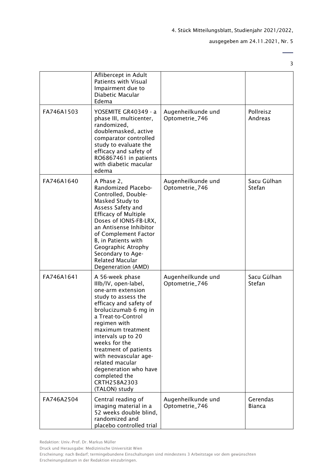#### ausgegeben am 24.11.2021, Nr. 5

|            | Aflibercept in Adult<br><b>Patients with Visual</b><br>Impairment due to<br>Diabetic Macular<br>Edema                                                                                                                                                                                                                                                                                   |                                      |                           |
|------------|-----------------------------------------------------------------------------------------------------------------------------------------------------------------------------------------------------------------------------------------------------------------------------------------------------------------------------------------------------------------------------------------|--------------------------------------|---------------------------|
| FA746A1503 | YOSEMITE GR40349 - a<br>phase III, multicenter,<br>randomized,<br>doublemasked, active<br>comparator controlled<br>study to evaluate the<br>efficacy and safety of<br>RO6867461 in patients<br>with diabetic macular<br>edema                                                                                                                                                           | Augenheilkunde und<br>Optometrie_746 | Pollreisz<br>Andreas      |
| FA746A1640 | A Phase 2,<br>Randomized Placebo-<br>Controlled, Double-<br>Masked Study to<br>Assess Safety and<br><b>Efficacy of Multiple</b><br>Doses of IONIS-FB-LRX,<br>an Antisense Inhibitor<br>of Complement Factor<br>B, in Patients with<br>Geographic Atrophy<br>Secondary to Age-<br><b>Related Macular</b><br>Degeneration (AMD)                                                           | Augenheilkunde und<br>Optometrie_746 | Sacu Gülhan<br>Stefan     |
| FA746A1641 | A 56-week phase<br>IIIb/IV, open-label,<br>one-arm extension<br>study to assess the<br>efficacy and safety of<br>brolucizumab 6 mg in<br>a Treat-to-Control<br>regimen with<br>maximum treatment<br>intervals up to 20<br>weeks for the<br>treatment of patients<br>with neovascular age-<br>related macular<br>degeneration who have<br>completed the<br>CRTH258A2303<br>(TALON) study | Augenheilkunde und<br>Optometrie_746 | Sacu Gülhan<br>Stefan     |
| FA746A2504 | Central reading of<br>imaging material in a<br>52 weeks double blind,<br>randomized and<br>placebo controlled trial                                                                                                                                                                                                                                                                     | Augenheilkunde und<br>Optometrie_746 | Gerendas<br><b>Bianca</b> |

Druck und Herausgabe: Medizinische Universität Wien

Erscheinung: nach Bedarf; termingebundene Einschaltungen sind mindestens 3 Arbeitstage vor dem gewünschten Erscheinungsdatum in der Redaktion einzubringen.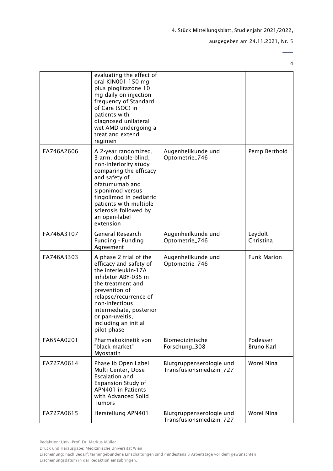ausgegeben am 24.11.2021, Nr. 5

|            | evaluating the effect of<br>oral KIN001 150 mg<br>plus pioglitazone 10<br>mg daily on injection<br>frequency of Standard<br>of Care (SOC) in<br>patients with<br>diagnosed unilateral<br>wet AMD undergoing a<br>treat and extend<br>regimen                          |                                                     |                               |
|------------|-----------------------------------------------------------------------------------------------------------------------------------------------------------------------------------------------------------------------------------------------------------------------|-----------------------------------------------------|-------------------------------|
| FA746A2606 | A 2-year randomized,<br>3-arm, double-blind,<br>non-inferiority study<br>comparing the efficacy<br>and safety of<br>ofatumumab and<br>siponimod versus<br>fingolimod in pediatric<br>patients with multiple<br>sclerosis followed by<br>an open-label<br>extension    | Augenheilkunde und<br>Optometrie_746                | Pemp Berthold                 |
| FA746A3107 | General Research<br>Funding - Funding<br>Agreement                                                                                                                                                                                                                    | Augenheilkunde und<br>Optometrie_746                | Leydolt<br>Christina          |
| FA746A3303 | A phase 2 trial of the<br>efficacy and safety of<br>the interleukin-17A<br>inhibitor ABY-035 in<br>the treatment and<br>prevention of<br>relapse/recurrence of<br>non-infectious<br>intermediate, posterior<br>or pan-uveitis,<br>including an initial<br>pilot phase | Augenheilkunde und<br>Optometrie_746                | <b>Funk Marion</b>            |
| FA654A0201 | Pharmakokinetik von<br>"black market"<br>Myostatin                                                                                                                                                                                                                    | Biomedizinische<br>Forschung_308                    | Podesser<br><b>Bruno Karl</b> |
| FA727A0614 | Phase Ib Open Label<br>Multi Center, Dose<br><b>Escalation and</b><br><b>Expansion Study of</b><br>APN401 in Patients<br>with Advanced Solid<br><b>Tumors</b>                                                                                                         | Blutgruppenserologie und<br>Transfusionsmedizin_727 | Worel Nina                    |
| FA727A0615 | Herstellung APN401                                                                                                                                                                                                                                                    | Blutgruppenserologie und<br>Transfusionsmedizin_727 | Worel Nina                    |

Druck und Herausgabe: Medizinische Universität Wien

Erscheinung: nach Bedarf; termingebundene Einschaltungen sind mindestens 3 Arbeitstage vor dem gewünschten Erscheinungsdatum in der Redaktion einzubringen.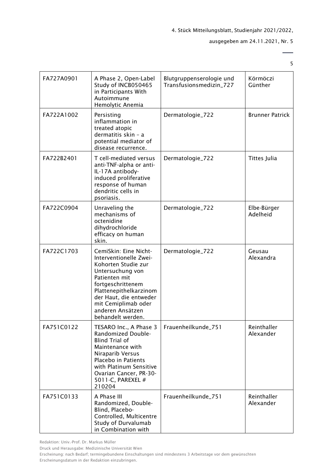ausgegeben am 24.11.2021, Nr. 5

| FA727A0901 | A Phase 2, Open-Label<br>Study of INCB050465<br>in Participants With<br>Autoimmune<br>Hemolytic Anemia                                                                                                                                               | Blutgruppenserologie und<br>Transfusionsmedizin_727 | Körmöczi<br>Günther      |
|------------|------------------------------------------------------------------------------------------------------------------------------------------------------------------------------------------------------------------------------------------------------|-----------------------------------------------------|--------------------------|
| FA722A1002 | Persisting<br>inflammation in<br>treated atopic<br>dermatitis skin - a<br>potential mediator of<br>disease recurrence.                                                                                                                               | Dermatologie_722                                    | <b>Brunner Patrick</b>   |
| FA722B2401 | T cell-mediated versus<br>anti-TNF-alpha or anti-<br>IL-17A antibody-<br>induced proliferative<br>response of human<br>dendritic cells in<br>psoriasis.                                                                                              | Dermatologie_722                                    | Tittes Julia             |
| FA722C0904 | Unraveling the<br>mechanisms of<br>octenidine<br>dihydrochloride<br>efficacy on human<br>skin.                                                                                                                                                       | Dermatologie_722                                    | Elbe-Bürger<br>Adelheid  |
| FA722C1703 | CemiSkin: Eine Nicht-<br>Interventionelle Zwei-<br>Kohorten Studie zur<br>Untersuchung von<br>Patienten mit<br>fortgeschrittenem<br>Plattenepithelkarzinom<br>der Haut, die entweder<br>mit Cemiplimab oder<br>anderen Ansätzen<br>behandelt werden. | Dermatologie_722                                    | Geusau<br>Alexandra      |
| FA751C0122 | TESARO Inc., A Phase 3<br>Randomized Double-<br><b>Blind Trial of</b><br>Maintenance with<br>Niraparib Versus<br>Placebo in Patients<br>with Platinum Sensitive<br>Ovarian Cancer, PR-30-<br>5011-C, PAREXEL #<br>210204                             | Frauenheilkunde_751                                 | Reinthaller<br>Alexander |
| FA751C0133 | A Phase III<br>Randomized, Double-<br>Blind, Placebo-<br>Controlled, Multicentre<br>Study of Durvalumab<br>in Combination with                                                                                                                       | Frauenheilkunde_751                                 | Reinthaller<br>Alexander |

Redaktion: Univ.-Prof. Dr. Markus Müller

Druck und Herausgabe: Medizinische Universität Wien

Erscheinung: nach Bedarf; termingebundene Einschaltungen sind mindestens 3 Arbeitstage vor dem gewünschten Erscheinungsdatum in der Redaktion einzubringen.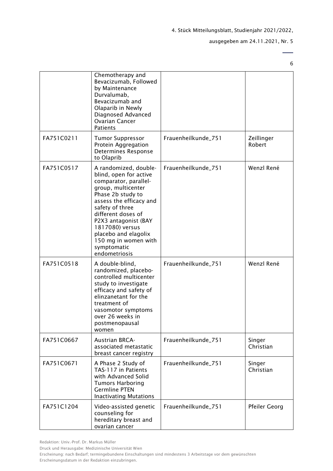ausgegeben am 24.11.2021, Nr. 5

 $\overline{\phantom{0}}$ 6

|            | Chemotherapy and<br>Bevacizumab, Followed<br>by Maintenance<br>Durvalumab,<br>Bevacizumab and<br>Olaparib in Newly<br>Diagnosed Advanced<br><b>Ovarian Cancer</b><br><b>Patients</b>                                                                                                                               |                     |                      |
|------------|--------------------------------------------------------------------------------------------------------------------------------------------------------------------------------------------------------------------------------------------------------------------------------------------------------------------|---------------------|----------------------|
| FA751C0211 | <b>Tumor Suppressor</b><br>Protein Aggregation<br>Determines Response<br>to Olaprib                                                                                                                                                                                                                                | Frauenheilkunde_751 | Zeillinger<br>Robert |
| FA751C0517 | A randomized, double-<br>blind, open for active<br>comparator, parallel-<br>group, multicenter<br>Phase 2b study to<br>assess the efficacy and<br>safety of three<br>different doses of<br>P2X3 antagonist (BAY<br>1817080) versus<br>placebo and elagolix<br>150 mg in women with<br>symptomatic<br>endometriosis | Frauenheilkunde_751 | Wenzl René           |
| FA751C0518 | A double-blind,<br>randomized, placebo-<br>controlled multicenter<br>study to investigate<br>efficacy and safety of<br>elinzanetant for the<br>treatment of<br>vasomotor symptoms<br>over 26 weeks in<br>postmenopausal<br>women                                                                                   | Frauenheilkunde_751 | Wenzl René           |
| FA751C0667 | <b>Austrian BRCA-</b><br>associated metastatic<br>breast cancer registry                                                                                                                                                                                                                                           | Frauenheilkunde_751 | Singer<br>Christian  |
| FA751C0671 | A Phase 2 Study of<br>TAS-117 in Patients<br>with Advanced Solid<br><b>Tumors Harboring</b><br><b>Germline PTEN</b><br><b>Inactivating Mutations</b>                                                                                                                                                               | Frauenheilkunde_751 | Singer<br>Christian  |
| FA751C1204 | Video-assisted genetic<br>counseling for<br>hereditary breast and<br>ovarian cancer                                                                                                                                                                                                                                | Frauenheilkunde_751 | Pfeiler Georg        |

Redaktion: Univ.-Prof. Dr. Markus Müller

Druck und Herausgabe: Medizinische Universität Wien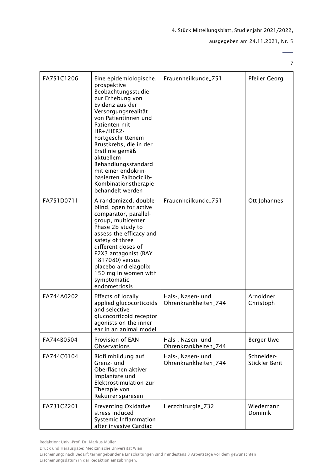ausgegeben am 24.11.2021, Nr. 5

 $\overline{a}$ 7

| FA751C1206 | Eine epidemiologische,<br>prospektive<br>Beobachtungsstudie<br>zur Erhebung von<br>Evidenz aus der<br>Versorgungsrealität<br>von Patientinnen und<br>Patienten mit<br>HR+/HER2-<br>Fortgeschrittenem<br>Brustkrebs, die in der<br>Erstlinie gemäß<br>aktuellem<br>Behandlungsstandard<br>mit einer endokrin-<br>basierten Palbociclib-<br>Kombinationstherapie<br>behandelt werden | Frauenheilkunde_751                       | <b>Pfeiler Georg</b>                |
|------------|------------------------------------------------------------------------------------------------------------------------------------------------------------------------------------------------------------------------------------------------------------------------------------------------------------------------------------------------------------------------------------|-------------------------------------------|-------------------------------------|
| FA751D0711 | A randomized, double-<br>blind, open for active<br>comparator, parallel-<br>group, multicenter<br>Phase 2b study to<br>assess the efficacy and<br>safety of three<br>different doses of<br>P2X3 antagonist (BAY<br>1817080) versus<br>placebo and elagolix<br>150 mg in women with<br>symptomatic<br>endometriosis                                                                 | Frauenheilkunde_751                       | Ott Johannes                        |
| FA744A0202 | <b>Effects of locally</b><br>applied glucocorticoids<br>and selective<br>glucocorticoid receptor<br>agonists on the inner<br>ear in an animal model                                                                                                                                                                                                                                | Hals-, Nasen- und<br>Ohrenkrankheiten_744 | Arnoldner<br>Christoph              |
| FA744B0504 | Provision of EAN<br><b>Observations</b>                                                                                                                                                                                                                                                                                                                                            | Hals-, Nasen- und<br>Ohrenkrankheiten_744 | <b>Berger Uwe</b>                   |
| FA744C0104 | Biofilmbildung auf<br>Grenz- und<br>Oberflächen aktiver<br>Implantate und<br>Elektrostimulation zur<br>Therapie von<br>Rekurrensparesen                                                                                                                                                                                                                                            | Hals-, Nasen- und<br>Ohrenkrankheiten_744 | Schneider-<br><b>Stickler Berit</b> |
| FA731C2201 | Preventing Oxidative<br>stress induced<br>Systemic Inflammation<br>after invasive Cardiac                                                                                                                                                                                                                                                                                          | Herzchirurgie_732                         | Wiedemann<br>Dominik                |

Druck und Herausgabe: Medizinische Universität Wien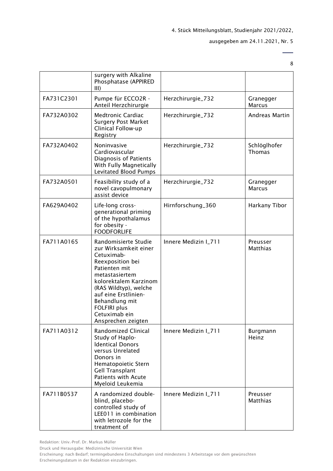ausgegeben am 24.11.2021, Nr. 5

 $\overline{a}$ 8

|            | surgery with Alkaline<br>Phosphatase (APPIRED<br>III)                                                                                                                                                                                                                        |                      |                               |
|------------|------------------------------------------------------------------------------------------------------------------------------------------------------------------------------------------------------------------------------------------------------------------------------|----------------------|-------------------------------|
| FA731C2301 | Pumpe für ECCO2R -<br>Anteil Herzchirurgie                                                                                                                                                                                                                                   | Herzchirurgie_732    | Granegger<br><b>Marcus</b>    |
| FA732A0302 | <b>Medtronic Cardiac</b><br><b>Surgery Post Market</b><br>Clinical Follow-up<br>Registry                                                                                                                                                                                     | Herzchirurgie_732    | <b>Andreas Martin</b>         |
| FA732A0402 | Noninvasive<br>Cardiovascular<br>Diagnosis of Patients<br>With Fully Magnetically<br>Levitated Blood Pumps                                                                                                                                                                   | Herzchirurgie_732    | Schlöglhofer<br><b>Thomas</b> |
| FA732A0501 | Feasibility study of a<br>novel cavopulmonary<br>assist device                                                                                                                                                                                                               | Herzchirurgie_732    | Granegger<br><b>Marcus</b>    |
| FA629A0402 | Life-long cross-<br>generational priming<br>of the hypothalamus<br>for obesity -<br><b>FOODFORLIFE</b>                                                                                                                                                                       | Hirnforschung_360    | Harkany Tibor                 |
| FA711A0165 | Randomisierte Studie<br>zur Wirksamkeit einer<br>Cetuximab-<br>Reexposition bei<br>Patienten mit<br>metastasiertem<br>kolorektalem Karzinom<br>(RAS Wildtyp), welche<br>auf eine Erstlinien-<br>Behandlung mit<br><b>FOLFIRI plus</b><br>Cetuximab ein<br>Ansprechen zeigten | Innere Medizin I_711 | Preusser<br>Matthias          |
| FA711A0312 | Randomized Clinical<br>Study of Haplo-<br><b>Identical Donors</b><br>versus Unrelated<br>Donors in<br>Hematopoietic Stern<br><b>Gell Transplant</b><br>Patients with Acute<br>Myeloid Leukemia                                                                               | Innere Medizin I_711 | <b>Burgmann</b><br>Heinz      |
| FA711B0537 | A randomized double-<br>blind, placebo-<br>controlled study of<br>LEE011 in combination<br>with letrozole for the<br>treatment of                                                                                                                                            | Innere Medizin I_711 | Preusser<br>Matthias          |

Druck und Herausgabe: Medizinische Universität Wien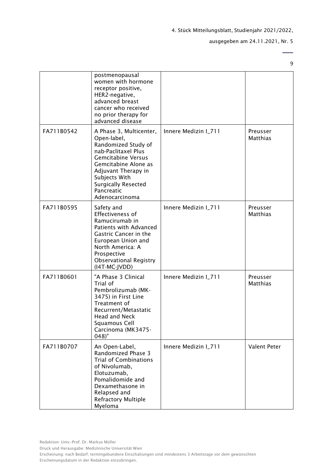ausgegeben am 24.11.2021, Nr. 5

 $\overline{\phantom{a}}$ 9

|            | postmenopausal<br>women with hormone<br>receptor positive,<br>HER2-negative,<br>advanced breast<br>cancer who received<br>no prior therapy for<br>advanced disease                                                                              |                      |                             |
|------------|-------------------------------------------------------------------------------------------------------------------------------------------------------------------------------------------------------------------------------------------------|----------------------|-----------------------------|
| FA711B0542 | A Phase 3, Multicenter,<br>Open-label,<br>Randomized Study of<br>nab-Paclitaxel Plus<br><b>Gemcitabine Versus</b><br>Gemcitabine Alone as<br>Adjuvant Therapy in<br>Subjects With<br><b>Surgically Resected</b><br>Pancreatic<br>Adenocarcinoma | Innere Medizin I_711 | Preusser<br>Matthias        |
| FA711B0595 | Safety and<br>Effectiveness of<br>Ramucirumab in<br>Patients with Advanced<br>Gastric Cancer in the<br>European Union and<br>North America: A<br>Prospective<br><b>Observational Registry</b><br>(I4T-MC-JVDD)                                  | Innere Medizin I_711 | Preusser<br><b>Matthias</b> |
| FA711B0601 | "A Phase 3 Clinical<br>Trial of<br>Pembrolizumab (MK-<br>3475) in First Line<br>Treatment of<br>Recurrent/Metastatic<br><b>Head and Neck</b><br>Squamous Cell<br>Carcinoma (MK3475-<br>$048$ "                                                  | Innere Medizin I_711 | Preusser<br>Matthias        |
| FA711B0707 | An Open-Label,<br>Randomized Phase 3<br><b>Trial of Combinations</b><br>of Nivolumab,<br>Elotuzumab,<br>Pomalidomide and<br>Dexamethasone in<br>Relapsed and<br><b>Refractory Multiple</b><br>Myeloma                                           | Innere Medizin I_711 | Valent Peter                |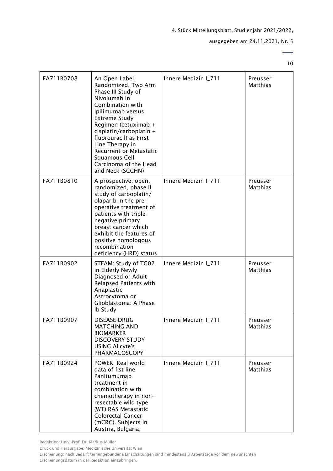ausgegeben am 24.11.2021, Nr. 5

10

 $\overline{a}$ 

| FA711B0708 | An Open Label,<br>Randomized, Two Arm<br>Phase III Study of<br>Nivolumab in<br>Combination with<br>Ipilimumab versus<br><b>Extreme Study</b><br>Regimen (cetuximab +<br>cisplatin/carboplatin +<br>fluorouracil) as First<br>Line Therapy in<br>Recurrent or Metastatic<br>Squamous Cell<br>Carcinoma of the Head<br>and Neck (SCCHN) | Innere Medizin I_711 | Preusser<br>Matthias        |
|------------|---------------------------------------------------------------------------------------------------------------------------------------------------------------------------------------------------------------------------------------------------------------------------------------------------------------------------------------|----------------------|-----------------------------|
| FA711B0810 | A prospective, open,<br>randomized, phase II<br>study of carboplatin/<br>olaparib in the pre-<br>operative treatment of<br>patients with triple-<br>negative primary<br>breast cancer which<br>exhibit the features of<br>positive homologous<br>recombination<br>deficiency (HRD) status                                             | Innere Medizin I_711 | Preusser<br>Matthias        |
| FA711B0902 | STEAM: Study of TG02<br>in Elderly Newly<br>Diagnosed or Adult<br>Relapsed Patients with<br>Anaplastic<br>Astrocytoma or<br>Glioblastoma: A Phase<br>Ib Study                                                                                                                                                                         | Innere Medizin I_711 | Preusser<br>Matthias        |
| FA711B0907 | DISEASE-DRUG<br><b>MATCHING AND</b><br><b>BIOMARKER</b><br><b>DISCOVERY STUDY</b><br><b>USING Allcyte's</b><br>PHARMACOSCOPY                                                                                                                                                                                                          | Innere Medizin I_711 | Preusser<br>Matthias        |
| FA711B0924 | POWER: Real world<br>data of 1st line<br>Panitumumab<br>treatment in<br>combination with<br>chemotherapy in non-<br>resectable wild type<br>(WT) RAS Metastatic<br><b>Colorectal Cancer</b><br>(mCRC). Subjects in<br>Austria, Bulgaria,                                                                                              | Innere Medizin I_711 | Preusser<br><b>Matthias</b> |

Redaktion: Univ.-Prof. Dr. Markus Müller

Druck und Herausgabe: Medizinische Universität Wien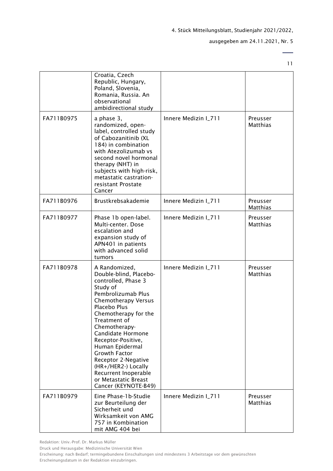ausgegeben am 24.11.2021, Nr. 5

11

 $\overline{\phantom{0}}$ 

|            | Croatia, Czech<br>Republic, Hungary,<br>Poland, Slovenia,<br>Romania, Russia. An<br>observational<br>ambidirectional study                                                                                                                                                                                                                                                                                   |                      |                             |
|------------|--------------------------------------------------------------------------------------------------------------------------------------------------------------------------------------------------------------------------------------------------------------------------------------------------------------------------------------------------------------------------------------------------------------|----------------------|-----------------------------|
| FA711B0975 | a phase 3,<br>randomized, open-<br>label, controlled study<br>of Cabozanitinib (XL<br>184) in combination<br>with Atezolizumab vs<br>second novel hormonal<br>therapy (NHT) in<br>subjects with high-risk,<br>metastatic castration-<br>resistant Prostate<br>Cancer                                                                                                                                         | Innere Medizin I_711 | Preusser<br>Matthias        |
| FA711B0976 | Brustkrebsakademie                                                                                                                                                                                                                                                                                                                                                                                           | Innere Medizin I_711 | Preusser<br><b>Matthias</b> |
| FA711B0977 | Phase 1b open-label.<br>Multi-center. Dose<br>escalation and<br>expansion study of<br>APN401 in patients<br>with advanced solid<br>tumors                                                                                                                                                                                                                                                                    | Innere Medizin I_711 | Preusser<br><b>Matthias</b> |
| FA711B0978 | A Randomized,<br>Double-blind, Placebo-<br>controlled, Phase 3<br>Study of<br>Pembrolizumab Plus<br>Chemotherapy Versus<br>Placebo Plus<br>Chemotherapy for the<br>Treatment of<br>Chemotherapy-<br>Candidate Hormone<br>Receptor-Positive,<br>Human Epidermal<br><b>Growth Factor</b><br>Receptor 2-Negative<br>(HR+/HER2-) Locally<br>Recurrent Inoperable<br>or Metastatic Breast<br>Cancer (KEYNOTE-B49) | Innere Medizin I_711 | Preusser<br>Matthias        |
| FA711B0979 | Eine Phase-1b-Studie<br>zur Beurteilung der<br>Sicherheit und<br>Wirksamkeit von AMG<br>757 in Kombination<br>mit AMG 404 bei                                                                                                                                                                                                                                                                                | Innere Medizin I_711 | Preusser<br>Matthias        |

Redaktion: Univ.-Prof. Dr. Markus Müller

Druck und Herausgabe: Medizinische Universität Wien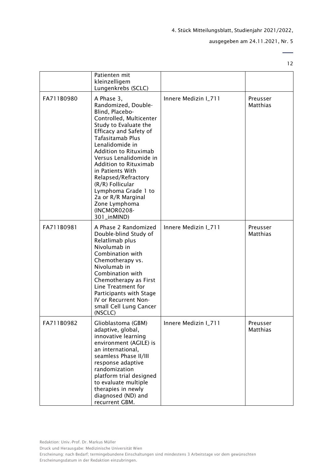ausgegeben am 24.11.2021, Nr. 5

 $\overline{\phantom{0}}$ 12

|            | Patienten mit                                                                                                                                                                                                                                                                                                                                                                                                     |                      |                      |
|------------|-------------------------------------------------------------------------------------------------------------------------------------------------------------------------------------------------------------------------------------------------------------------------------------------------------------------------------------------------------------------------------------------------------------------|----------------------|----------------------|
|            | kleinzelligem                                                                                                                                                                                                                                                                                                                                                                                                     |                      |                      |
|            | Lungenkrebs (SCLC)                                                                                                                                                                                                                                                                                                                                                                                                |                      |                      |
| FA711B0980 | A Phase 3,<br>Randomized, Double-<br>Blind, Placebo-<br>Controlled, Multicenter<br>Study to Evaluate the<br>Efficacy and Safety of<br>Tafasitamab Plus<br>Lenalidomide in<br>Addition to Rituximab<br>Versus Lenalidomide in<br>Addition to Rituximab<br>in Patients With<br>Relapsed/Refractory<br>(R/R) Follicular<br>Lymphoma Grade 1 to<br>2a or R/R Marginal<br>Zone Lymphoma<br>(INCMOR0208-<br>301_inMIND) | Innere Medizin I_711 | Preusser<br>Matthias |
| FA711B0981 | A Phase 2 Randomized<br>Double-blind Study of<br>Relatlimab plus<br>Nivolumab in<br>Combination with<br>Chemotherapy vs.<br>Nivolumab in<br>Combination with<br>Chemotherapy as First<br>Line Treatment for<br>Participants with Stage<br>IV or Recurrent Non-<br>small Cell Lung Cancer<br>(NSCLC)                                                                                                               | Innere Medizin I_711 | Preusser<br>Matthias |
| FA711B0982 | Glioblastoma (GBM)<br>adaptive, global,<br>innovative learning<br>environment (AGILE) is<br>an international,<br>seamless Phase II/III<br>response adaptive<br>randomization<br>platform trial designed<br>to evaluate multiple<br>therapies in newly<br>diagnosed (ND) and<br>recurrent GBM.                                                                                                                     | Innere Medizin I_711 | Preusser<br>Matthias |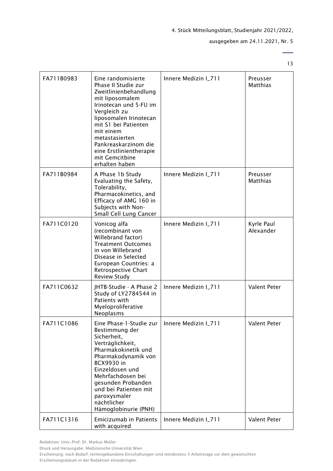ausgegeben am 24.11.2021, Nr. 5

 $\overline{\phantom{0}}$ 13

| FA711B0983 | Eine randomisierte<br>Phase II Studie zur<br>Zweitlinienbehandlung<br>mit liposomalem<br>Irinotecan und 5-FU im<br>Vergleich zu<br>liposomalen Irinotecan<br>mit S1 bei Patienten<br>mit einem<br>metastasierten<br>Pankreaskarzinom die<br>eine Erstlinientherapie<br>mit Gemcitbine<br>erhalten haben | Innere Medizin I_711 | Preusser<br>Matthias        |
|------------|---------------------------------------------------------------------------------------------------------------------------------------------------------------------------------------------------------------------------------------------------------------------------------------------------------|----------------------|-----------------------------|
| FA711B0984 | A Phase 1b Study<br>Evaluating the Safety,<br>Tolerability,<br>Pharmacokinetics, and<br>Efficacy of AMG 160 in<br>Subjects with Non-<br>Small Cell Lung Cancer                                                                                                                                          | Innere Medizin I_711 | Preusser<br><b>Matthias</b> |
| FA711C0120 | Vonicog alfa<br>(recombinant von<br>Willebrand factor)<br><b>Treatment Outcomes</b><br>in von Willebrand<br>Disease in Selected<br>European Countries: a<br>Retrospective Chart<br><b>Review Study</b>                                                                                                  | Innere Medizin I_711 | Kyrle Paul<br>Alexander     |
| FA711C0632 | JHTB-Studie - A Phase 2<br>Study of LY2784544 in<br>Patients with<br>Myeloproliferative<br>Neoplasms                                                                                                                                                                                                    | Innere Medizin I_711 | Valent Peter                |
| FA711C1086 | Eine Phase-1-Studie zur<br>Bestimmung der<br>Sicherheit,<br>Verträglichkeit,<br>Pharmakokinetik und<br>Pharmakodynamik von<br><b>BCX9930 in</b><br>Einzeldosen und<br>Mehrfachdosen bei<br>gesunden Probanden<br>und bei Patienten mit<br>paroxysmaler<br>nächtlicher<br>Hämoglobinurie (PNH)           | Innere Medizin I_711 | Valent Peter                |
| FA711C1316 | Emicizumab in Patients<br>with acquired                                                                                                                                                                                                                                                                 | Innere Medizin I_711 | Valent Peter                |

Redaktion: Univ.-Prof. Dr. Markus Müller

Druck und Herausgabe: Medizinische Universität Wien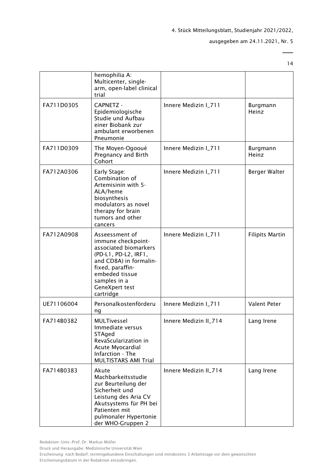#### ausgegeben am 24.11.2021, Nr. 5

14

 $\overline{a}$ 

|            | hemophilia A:<br>Multicenter, single-<br>arm, open-label clinical<br>trial                                                                                                                           |                       |                        |
|------------|------------------------------------------------------------------------------------------------------------------------------------------------------------------------------------------------------|-----------------------|------------------------|
| FA711D0305 | <b>CAPNETZ -</b><br>Epidemiologische<br>Studie und Aufbau<br>einer Biobank zur<br>ambulant erworbenen<br>Pneumonie                                                                                   | Innere Medizin I_711  | Burgmann<br>Heinz      |
| FA711D0309 | The Moyen-Ogooué<br>Pregnancy and Birth<br>Cohort                                                                                                                                                    | Innere Medizin I_711  | Burgmann<br>Heinz      |
| FA712A0306 | Early Stage:<br>Combination of<br>Artemisinin with 5-<br>ALA/heme<br>biosynthesis<br>modulators as novel<br>therapy for brain<br>tumors and other<br>cancers                                         | Innere Medizin I_711  | Berger Walter          |
| FA712A0908 | Asseessment of<br>immune checkpoint-<br>associated biomarkers<br>(PD-L1, PD-L2, IRF1,<br>and CD8A) in formalin-<br>fixed, paraffin-<br>embeded tissue<br>samples in a<br>GeneXpert test<br>cartridge | Innere Medizin I_711  | <b>Filipits Martin</b> |
| UE71106004 | Personalkostenförderu<br>ng                                                                                                                                                                          | Innere Medizin I_711  | Valent Peter           |
| FA714B0382 | MULTivessel<br>Immediate versus<br>STAged<br>RevaScularization in<br>Acute Myocardial<br>Infarction - The<br><b>MULTISTARS AMI Trial</b>                                                             | Innere Medizin II_714 | Lang Irene             |
| FA714B0383 | Akute<br>Machbarkeitsstudie<br>zur Beurteilung der<br>Sicherheit und<br>Leistung des Aria CV<br>Akutsystems für PH bei<br>Patienten mit<br>pulmonaler Hypertonie<br>der WHO-Gruppen 2                | Innere Medizin II_714 | Lang Irene             |

Redaktion: Univ.-Prof. Dr. Markus Müller

Druck und Herausgabe: Medizinische Universität Wien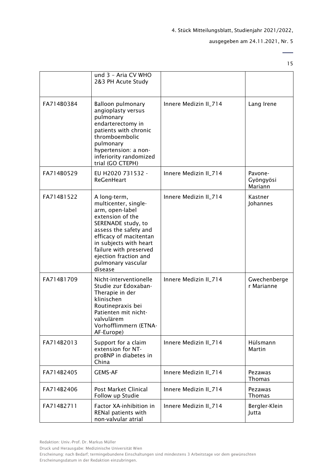#### ausgegeben am 24.11.2021, Nr. 5

15

 $\overline{\phantom{0}}$ 

|            | und 3 - Aria CV WHO<br>2&3 PH Acute Study                                                                                                                                                                                                                          |                       |                                 |
|------------|--------------------------------------------------------------------------------------------------------------------------------------------------------------------------------------------------------------------------------------------------------------------|-----------------------|---------------------------------|
| FA714B0384 | <b>Balloon pulmonary</b><br>angioplasty versus<br>pulmonary<br>endarterectomy in<br>patients with chronic<br>thromboembolic<br>pulmonary<br>hypertension: a non-<br>inferiority randomized<br>trial (GO CTEPH)                                                     | Innere Medizin II_714 | Lang Irene                      |
| FA714B0529 | EU H2020 731532 -<br><b>ReGenHeart</b>                                                                                                                                                                                                                             | Innere Medizin II_714 | Pavone-<br>Gyöngyösi<br>Mariann |
| FA714B1522 | A long-term,<br>multicenter, single-<br>arm, open-label<br>extension of the<br>SERENADE study, to<br>assess the safety and<br>efficacy of macitentan<br>in subjects with heart<br>failure with preserved<br>ejection fraction and<br>pulmonary vascular<br>disease | Innere Medizin II_714 | Kastner<br>Johannes             |
| FA714B1709 | Nicht-interventionelle<br>Studie zur Edoxaban-<br>Therapie in der<br>klinischen<br>Routinepraxis bei<br>Patienten mit nicht-<br>valvulärem<br>Vorhofflimmern (ETNA-<br>AF-Europe)                                                                                  | Innere Medizin II_714 | Gwechenberge<br>r Marianne      |
| FA714B2013 | Support for a claim<br>extension for NT-<br>proBNP in diabetes in<br>China                                                                                                                                                                                         | Innere Medizin II_714 | Hülsmann<br>Martin              |
| FA714B2405 | <b>GEMS-AF</b>                                                                                                                                                                                                                                                     | Innere Medizin II_714 | Pezawas<br><b>Thomas</b>        |
| FA714B2406 | Post Market Clinical<br>Follow up Studie                                                                                                                                                                                                                           | Innere Medizin II_714 | Pezawas<br><b>Thomas</b>        |
| FA714B2711 | Factor XA-inhibition in<br>RENal patients with<br>non-valvular atrial                                                                                                                                                                                              | Innere Medizin II_714 | Bergler-Klein<br>Jutta          |

Druck und Herausgabe: Medizinische Universität Wien

Erscheinung: nach Bedarf; termingebundene Einschaltungen sind mindestens 3 Arbeitstage vor dem gewünschten Erscheinungsdatum in der Redaktion einzubringen.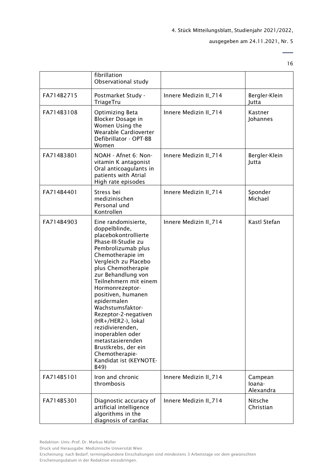#### ausgegeben am 24.11.2021, Nr. 5

16

 $\overline{\phantom{0}}$ 

|            | fibrillation<br>Observational study                                                                                                                                                                                                                                                                                                                                                                                                                                                         |                       |                                |
|------------|---------------------------------------------------------------------------------------------------------------------------------------------------------------------------------------------------------------------------------------------------------------------------------------------------------------------------------------------------------------------------------------------------------------------------------------------------------------------------------------------|-----------------------|--------------------------------|
| FA714B2715 | Postmarket Study -<br>TriageTru                                                                                                                                                                                                                                                                                                                                                                                                                                                             | Innere Medizin II_714 | Bergler-Klein<br>Jutta         |
| FA714B3108 | Optimizing Beta<br>Blocker Dosage in<br>Women Using the<br>Wearable Cardioverter<br>Defibrillator - OPT-BB<br>Women                                                                                                                                                                                                                                                                                                                                                                         | Innere Medizin II_714 | Kastner<br>Johannes            |
| FA714B3801 | NOAH - Afnet 6: Non-<br>vitamin K antagonist<br>Oral anticoagulants in<br>patients with Atrial<br>High rate episodes                                                                                                                                                                                                                                                                                                                                                                        | Innere Medizin II_714 | Bergler-Klein<br>Jutta         |
| FA714B4401 | Stress bei<br>medizinischen<br>Personal und<br>Kontrollen                                                                                                                                                                                                                                                                                                                                                                                                                                   | Innere Medizin II_714 | Sponder<br>Michael             |
| FA714B4903 | Eine randomisierte,<br>doppelblinde,<br>placebokontrollierte<br>Phase-III-Studie zu<br>Pembrolizumab plus<br>Chemotherapie im<br>Vergleich zu Placebo<br>plus Chemotherapie<br>zur Behandlung von<br>Teilnehmern mit einem<br>Hormonrezeptor-<br>positiven, humanen<br>epidermalen<br>Wachstumsfaktor-<br>Rezeptor-2-negativen<br>(HR+/HER2-), lokal<br>rezidivierenden,<br>inoperablen oder<br>metastasierenden<br>Brustkrebs, der ein<br>Chemotherapie-<br>Kandidat ist (KEYNOTE-<br>B49) | Innere Medizin II_714 | Kastl Stefan                   |
| FA714B5101 | Iron and chronic<br>thrombosis                                                                                                                                                                                                                                                                                                                                                                                                                                                              | Innere Medizin II_714 | Campean<br>loana-<br>Alexandra |
| FA714B5301 | Diagnostic accuracy of<br>artificial intelligence<br>algorithms in the<br>diagnosis of cardiac                                                                                                                                                                                                                                                                                                                                                                                              | Innere Medizin II_714 | Nitsche<br>Christian           |

Druck und Herausgabe: Medizinische Universität Wien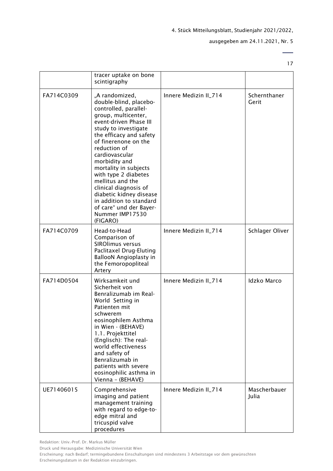ausgegeben am 24.11.2021, Nr. 5

17

 $\overline{\phantom{0}}$ 

|            | tracer uptake on bone<br>scintigraphy                                                                                                                                                                                                                                                                                                                                                                                                                          |                       |                       |
|------------|----------------------------------------------------------------------------------------------------------------------------------------------------------------------------------------------------------------------------------------------------------------------------------------------------------------------------------------------------------------------------------------------------------------------------------------------------------------|-----------------------|-----------------------|
| FA714C0309 | "A randomized,<br>double-blind, placebo-<br>controlled, parallel-<br>group, multicenter,<br>event-driven Phase III<br>study to investigate<br>the efficacy and safety<br>of finerenone on the<br>reduction of<br>cardiovascular<br>morbidity and<br>mortality in subjects<br>with type 2 diabetes<br>mellitus and the<br>clinical diagnosis of<br>diabetic kidney disease<br>in addition to standard<br>of care" und der Bayer-<br>Nummer IMP17530<br>(FIGARO) | Innere Medizin II_714 | Schernthaner<br>Gerit |
| FA714C0709 | Head-to-Head<br>Comparison of<br><b>SIROlimus versus</b><br>Paclitaxel Drug-Eluting<br><b>BallooN Angioplasty in</b><br>the Femoropopliteal<br>Artery                                                                                                                                                                                                                                                                                                          | Innere Medizin II_714 | Schlager Oliver       |
| FA714D0504 | Wirksamkeit und<br>Sicherheit von<br>Benralizumab im Real-<br>World Setting in<br>Patienten mit<br>schwerem<br>eosinophilem Asthma<br>in Wien - (BEHAVE)<br>1.1. Projekttitel<br>(Englisch): The real-<br>world effectiveness<br>and safety of<br>Benralizumab in<br>patients with severe<br>eosinophilic asthma in<br>Vienna - (BEHAVE)                                                                                                                       | Innere Medizin II_714 | <b>Idzko Marco</b>    |
| UE71406015 | Comprehensive<br>imaging and patient<br>management training<br>with regard to edge-to-<br>edge mitral and<br>tricuspid valve<br>procedures                                                                                                                                                                                                                                                                                                                     | Innere Medizin II_714 | Mascherbauer<br>Julia |

Redaktion: Univ.-Prof. Dr. Markus Müller

Druck und Herausgabe: Medizinische Universität Wien

Erscheinung: nach Bedarf; termingebundene Einschaltungen sind mindestens 3 Arbeitstage vor dem gewünschten Erscheinungsdatum in der Redaktion einzubringen.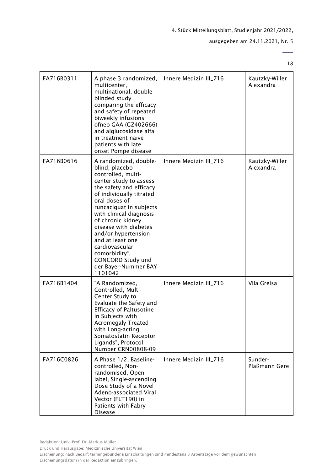#### ausgegeben am 24.11.2021, Nr. 5

18

| FA716B0311 | A phase 3 randomized,<br>multicenter,<br>multinational, double-<br>blinded study<br>comparing the efficacy<br>and safety of repeated<br>biweekly infusions<br>ofneo GAA (GZ402666)<br>and alglucosidase alfa<br>in treatment naive<br>patients with late<br>onset Pompe disease                                                                                                                                   | Innere Medizin III_716 | Kautzky-Willer<br>Alexandra |
|------------|-------------------------------------------------------------------------------------------------------------------------------------------------------------------------------------------------------------------------------------------------------------------------------------------------------------------------------------------------------------------------------------------------------------------|------------------------|-----------------------------|
| FA716B0616 | A randomized, double-<br>blind, placebo-<br>controlled, multi-<br>center study to assess<br>the safety and efficacy<br>of individually titrated<br>oral doses of<br>runcaciguat in subjects<br>with clinical diagnosis<br>of chronic kidney<br>disease with diabetes<br>and/or hypertension<br>and at least one<br>cardiovascular<br>comorbidity",<br><b>CONCORD Study und</b><br>der Bayer-Nummer BAY<br>1101042 | Innere Medizin III_716 | Kautzky-Willer<br>Alexandra |
| FA716B1404 | "A Randomized,<br>Controlled, Multi-<br>Center Study to<br>Evaluate the Safety and<br><b>Efficacy of Paltusotine</b><br>in Subjects with<br><b>Acromegaly Treated</b><br>with Long-acting<br>Somatostatin Receptor<br>Ligands", Protocol<br>Number CRN00808-09                                                                                                                                                    | Innere Medizin III_716 | Vila Greisa                 |
| FA716C0826 | A Phase 1/2, Baseline-<br>controlled, Non-<br>randomised, Open-<br>label, Single-ascending<br>Dose Study of a Novel<br>Adeno-associated Viral<br>Vector (FLT190) in<br>Patients with Fabry<br><b>Disease</b>                                                                                                                                                                                                      | Innere Medizin III_716 | Sunder-<br>Plaßmann Gere    |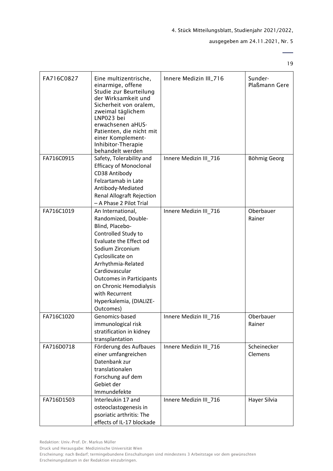#### ausgegeben am 24.11.2021, Nr. 5

19

 $\overline{\phantom{0}}$ 

| FA716C0827 | Eine multizentrische,<br>einarmige, offene<br>Studie zur Beurteilung<br>der Wirksamkeit und<br>Sicherheit von oralem,<br>zweimal täglichem<br>LNP023 bei<br>erwachsenen aHUS-<br>Patienten, die nicht mit<br>einer Komplement-<br>Inhibitor-Therapie<br>behandelt werden                                             | Innere Medizin III_716 | Sunder-<br>Plaßmann Gere |
|------------|----------------------------------------------------------------------------------------------------------------------------------------------------------------------------------------------------------------------------------------------------------------------------------------------------------------------|------------------------|--------------------------|
| FA716C0915 | Safety, Tolerability and<br><b>Efficacy of Monoclonal</b><br>CD38 Antibody<br>Felzartamab in Late<br>Antibody-Mediated<br><b>Renal Allograft Rejection</b><br>- A Phase 2 Pilot Trial                                                                                                                                | Innere Medizin III_716 | Böhmig Georg             |
| FA716C1019 | An International,<br>Randomized, Double-<br>Blind, Placebo-<br>Controlled Study to<br>Evaluate the Effect od<br>Sodium Zirconium<br>Cyclosilicate on<br>Arrhythmia-Related<br>Cardiovascular<br><b>Outcomes in Participants</b><br>on Chronic Hemodialysis<br>with Recurrent<br>Hyperkalemia, (DIALIZE-<br>Outcomes) | Innere Medizin III_716 | Oberbauer<br>Rainer      |
| FA716C1020 | Genomics-based<br>immunological risk<br>stratification in kidney<br>transplantation                                                                                                                                                                                                                                  | Innere Medizin III 716 | Oberbauer<br>Rainer      |
| FA716D0718 | Förderung des Aufbaues<br>einer umfangreichen<br>Datenbank zur<br>translationalen<br>Forschung auf dem<br>Gebiet der<br>Immundefekte                                                                                                                                                                                 | Innere Medizin III_716 | Scheinecker<br>Clemens   |
| FA716D1503 | Interleukin 17 and<br>osteoclastogenesis in<br>psoriatic arthritis: The<br>effects of IL-17 blockade                                                                                                                                                                                                                 | Innere Medizin III_716 | Hayer Silvia             |

Redaktion: Univ.-Prof. Dr. Markus Müller

Druck und Herausgabe: Medizinische Universität Wien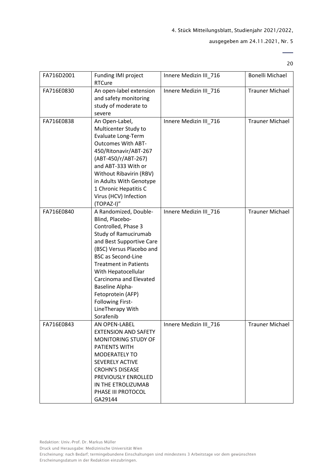#### ausgegeben am 24.11.2021, Nr. 5

20

 $\overline{\phantom{0}}$ 

| FA716D2001 | Funding IMI project                                                                                                                                                                                                                                                                                                                                               | Innere Medizin III 716 | <b>Bonelli Michael</b> |
|------------|-------------------------------------------------------------------------------------------------------------------------------------------------------------------------------------------------------------------------------------------------------------------------------------------------------------------------------------------------------------------|------------------------|------------------------|
|            | <b>RTCure</b>                                                                                                                                                                                                                                                                                                                                                     |                        |                        |
| FA716E0830 | An open-label extension<br>and safety monitoring<br>study of moderate to<br>severe                                                                                                                                                                                                                                                                                | Innere Medizin III 716 | <b>Trauner Michael</b> |
| FA716E0838 | An Open-Label,<br>Multicenter Study to<br>Evaluate Long-Term<br><b>Outcomes With ABT-</b><br>450/Ritonavir/ABT-267<br>(ABT-450/r/ABT-267)<br>and ABT-333 With or<br>Without Ribavirin (RBV)<br>in Adults With Genotype<br>1 Chronic Hepatitis C<br>Virus (HCV) Infection<br>(TOPAZ-I)"                                                                            | Innere Medizin III_716 | <b>Trauner Michael</b> |
| FA716E0840 | A Randomized, Double-<br>Blind, Placebo-<br>Controlled, Phase 3<br>Study of Ramucirumab<br>and Best Supportive Care<br>(BSC) Versus Placebo and<br><b>BSC as Second-Line</b><br><b>Treatment in Patients</b><br>With Hepatocellular<br>Carcinoma and Elevated<br>Baseline Alpha-<br>Fetoprotein (AFP)<br><b>Following First-</b><br>LineTherapy With<br>Sorafenib | Innere Medizin III_716 | <b>Trauner Michael</b> |
| FA716E0843 | AN OPEN-LABEL<br><b>EXTENSION AND SAFETY</b><br>MONITORING STUDY OF<br>PATIENTS WITH<br>MODERATELY TO<br>SEVERELY ACTIVE<br><b>CROHN'S DISEASE</b><br>PREVIOUSLY ENROLLED<br>IN THE ETROLIZUMAB<br>PHASE III PROTOCOL<br>GA29144                                                                                                                                  | Innere Medizin III 716 | <b>Trauner Michael</b> |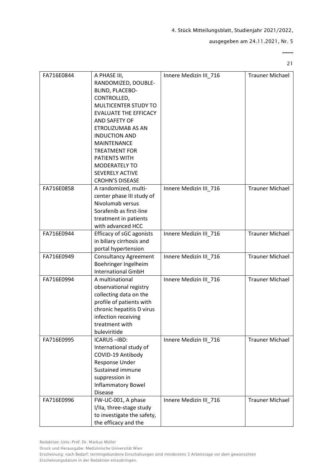#### ausgegeben am 24.11.2021, Nr. 5

21

 $\overline{\phantom{a}}$ 

| FA716E0844 | A PHASE III,                    | Innere Medizin III_716 | <b>Trauner Michael</b> |
|------------|---------------------------------|------------------------|------------------------|
|            | RANDOMIZED, DOUBLE-             |                        |                        |
|            | BLIND, PLACEBO-                 |                        |                        |
|            | CONTROLLED,                     |                        |                        |
|            | MULTICENTER STUDY TO            |                        |                        |
|            | <b>EVALUATE THE EFFICACY</b>    |                        |                        |
|            | AND SAFETY OF                   |                        |                        |
|            | ETROLIZUMAB AS AN               |                        |                        |
|            | <b>INDUCTION AND</b>            |                        |                        |
|            | <b>MAINTENANCE</b>              |                        |                        |
|            | <b>TREATMENT FOR</b>            |                        |                        |
|            |                                 |                        |                        |
|            | <b>PATIENTS WITH</b>            |                        |                        |
|            | MODERATELY TO                   |                        |                        |
|            | <b>SEVERELY ACTIVE</b>          |                        |                        |
|            | <b>CROHN'S DISEASE</b>          |                        |                        |
| FA716E0858 | A randomized, multi-            | Innere Medizin III_716 | <b>Trauner Michael</b> |
|            | center phase III study of       |                        |                        |
|            | Nivolumab versus                |                        |                        |
|            | Sorafenib as first-line         |                        |                        |
|            | treatment in patients           |                        |                        |
|            | with advanced HCC               |                        |                        |
| FA716E0944 | <b>Efficacy of sGC agonists</b> | Innere Medizin III_716 | <b>Trauner Michael</b> |
|            | in biliary cirrhosis and        |                        |                        |
|            | portal hypertension             |                        |                        |
| FA716E0949 | <b>Consultancy Agreement</b>    | Innere Medizin III_716 | <b>Trauner Michael</b> |
|            | Boehringer Ingelheim            |                        |                        |
|            | <b>International GmbH</b>       |                        |                        |
| FA716E0994 | A multinational                 |                        | <b>Trauner Michael</b> |
|            |                                 | Innere Medizin III_716 |                        |
|            | observational registry          |                        |                        |
|            | collecting data on the          |                        |                        |
|            | profile of patients with        |                        |                        |
|            | chronic hepatitis D virus       |                        |                        |
|            | infection receiving             |                        |                        |
|            | treatment with                  |                        |                        |
|            | buleviritide                    |                        |                        |
| FA716E0995 | ICARUS-IBD:                     | Innere Medizin III_716 | <b>Trauner Michael</b> |
|            | International study of          |                        |                        |
|            | COVID-19 Antibody               |                        |                        |
|            | Response Under                  |                        |                        |
|            | Sustained immune                |                        |                        |
|            | suppression in                  |                        |                        |
|            | <b>Inflammatory Bowel</b>       |                        |                        |
|            | <b>Disease</b>                  |                        |                        |
| FA716E0996 | FW-UC-001, A phase              | Innere Medizin III_716 | <b>Trauner Michael</b> |
|            | I/IIa, three-stage study        |                        |                        |
|            |                                 |                        |                        |
|            | to investigate the safety,      |                        |                        |
|            | the efficacy and the            |                        |                        |

Redaktion: Univ.-Prof. Dr. Markus Müller

Druck und Herausgabe: Medizinische Universität Wien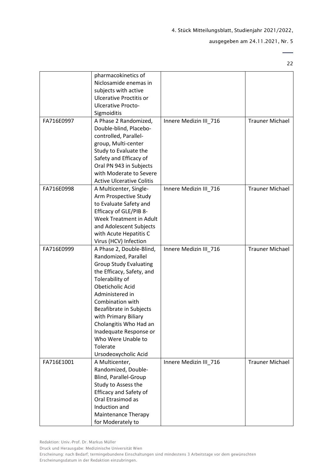ausgegeben am 24.11.2021, Nr. 5

 $\overline{\phantom{0}}$ 22

|            | pharmacokinetics of              |                        |                        |
|------------|----------------------------------|------------------------|------------------------|
|            | Niclosamide enemas in            |                        |                        |
|            | subjects with active             |                        |                        |
|            | <b>Ulcerative Proctitis or</b>   |                        |                        |
|            | <b>Ulcerative Procto-</b>        |                        |                        |
|            | Sigmoiditis                      |                        |                        |
| FA716E0997 | A Phase 2 Randomized,            | Innere Medizin III_716 | <b>Trauner Michael</b> |
|            | Double-blind, Placebo-           |                        |                        |
|            | controlled, Parallel-            |                        |                        |
|            | group, Multi-center              |                        |                        |
|            | Study to Evaluate the            |                        |                        |
|            | Safety and Efficacy of           |                        |                        |
|            | Oral PN 943 in Subjects          |                        |                        |
|            | with Moderate to Severe          |                        |                        |
|            | <b>Active Ulcerative Colitis</b> |                        |                        |
| FA716E0998 | A Multicenter, Single-           | Innere Medizin III_716 | <b>Trauner Michael</b> |
|            | Arm Prospective Study            |                        |                        |
|            | to Evaluate Safety and           |                        |                        |
|            | Efficacy of GLE/PIB 8-           |                        |                        |
|            | Week Treatment in Adult          |                        |                        |
|            | and Adolescent Subjects          |                        |                        |
|            | with Acute Hepatitis C           |                        |                        |
|            | Virus (HCV) Infection            |                        |                        |
| FA716E0999 | A Phase 2, Double-Blind,         | Innere Medizin III_716 | <b>Trauner Michael</b> |
|            | Randomized, Parallel             |                        |                        |
|            | <b>Group Study Evaluating</b>    |                        |                        |
|            | the Efficacy, Safety, and        |                        |                        |
|            | Tolerability of                  |                        |                        |
|            | Obeticholic Acid                 |                        |                        |
|            | Administered in                  |                        |                        |
|            | Combination with                 |                        |                        |
|            | Bezafibrate in Subjects          |                        |                        |
|            | with Primary Biliary             |                        |                        |
|            | Cholangitis Who Had an           |                        |                        |
|            | Inadequate Response or           |                        |                        |
|            | Who Were Unable to               |                        |                        |
|            | Tolerate                         |                        |                        |
|            | Ursodeoxycholic Acid             |                        |                        |
| FA716E1001 | A Multicenter,                   | Innere Medizin III_716 | <b>Trauner Michael</b> |
|            | Randomized, Double-              |                        |                        |
|            | Blind, Parallel-Group            |                        |                        |
|            | Study to Assess the              |                        |                        |
|            | <b>Efficacy and Safety of</b>    |                        |                        |
|            | Oral Etrasimod as                |                        |                        |
|            | Induction and                    |                        |                        |
|            | Maintenance Therapy              |                        |                        |
|            | for Moderately to                |                        |                        |

Redaktion: Univ.-Prof. Dr. Markus Müller

Druck und Herausgabe: Medizinische Universität Wien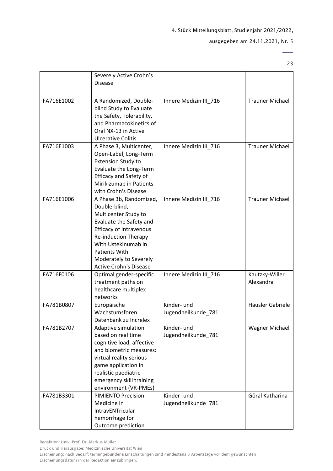#### ausgegeben am 24.11.2021, Nr. 5

23

 $\overline{\phantom{0}}$ 

|            | Severely Active Crohn's<br><b>Disease</b>                                                                                                                                                                                                                              |                                    |                             |
|------------|------------------------------------------------------------------------------------------------------------------------------------------------------------------------------------------------------------------------------------------------------------------------|------------------------------------|-----------------------------|
| FA716E1002 | A Randomized, Double-<br>blind Study to Evaluate<br>the Safety, Tolerability,<br>and Pharmacokinetics of<br>Oral NX-13 in Active<br><b>Ulcerative Colitis</b>                                                                                                          | Innere Medizin III_716             | <b>Trauner Michael</b>      |
| FA716E1003 | A Phase 3, Multicenter,<br>Open-Label, Long-Term<br><b>Extension Study to</b><br>Evaluate the Long-Term<br><b>Efficacy and Safety of</b><br>Mirikizumab in Patients<br>with Crohn's Disease                                                                            | Innere Medizin III 716             | <b>Trauner Michael</b>      |
| FA716E1006 | A Phase 3b, Randomized,<br>Double-blind,<br>Multicenter Study to<br>Evaluate the Safety and<br><b>Efficacy of Intravenous</b><br><b>Re-induction Therapy</b><br>With Ustekinumab in<br><b>Patients With</b><br>Moderately to Severely<br><b>Active Crohn's Disease</b> | Innere Medizin III_716             | <b>Trauner Michael</b>      |
| FA716F0106 | Optimal gender-specific<br>treatment paths on<br>healthcare multiplex<br>networks                                                                                                                                                                                      | Innere Medizin III_716             | Kautzky-Willer<br>Alexandra |
| FA781B0807 | Europäische<br>Wachstumsforen<br>Datenbank zu Increlex                                                                                                                                                                                                                 | Kinder- und<br>Jugendheilkunde_781 | Häusler Gabriele            |
| FA781B2707 | Adaptive simulation<br>based on real time<br>cognitive load, affective<br>and biometric measures:<br>virtual reality serious<br>game application in<br>realistic paediatric<br>emergency skill training<br>environment (VR-PMEs)                                       | Kinder- und<br>Jugendheilkunde_781 | Wagner Michael              |
| FA781B3301 | <b>PIMIENTO Precision</b><br>Medicine in<br>IntravENTricular<br>hemorrhage for<br>Outcome prediction                                                                                                                                                                   | Kinder- und<br>Jugendheilkunde_781 | Göral Katharina             |

Druck und Herausgabe: Medizinische Universität Wien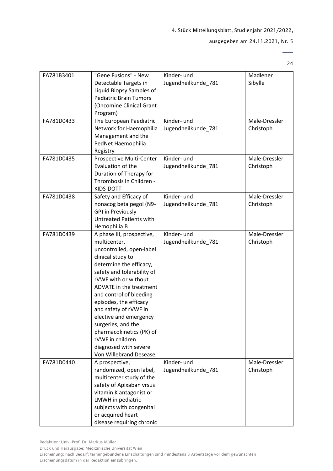#### ausgegeben am 24.11.2021, Nr. 5

24

 $\overline{a}$ 

| FA781B3401 | "Gene Fusions" - New           | Kinder- und         | Madlener      |
|------------|--------------------------------|---------------------|---------------|
|            | Detectable Targets in          | Jugendheilkunde_781 | Sibylle       |
|            | Liquid Biopsy Samples of       |                     |               |
|            | <b>Pediatric Brain Tumors</b>  |                     |               |
|            | (Oncomine Clinical Grant       |                     |               |
|            | Program)                       |                     |               |
| FA781D0433 | The European Paediatric        | Kinder- und         | Male-Dressler |
|            | Network for Haemophilia        | Jugendheilkunde_781 | Christoph     |
|            | Management and the             |                     |               |
|            | PedNet Haemophilia             |                     |               |
|            | Registry                       |                     |               |
| FA781D0435 | Prospective Multi-Center       | Kinder- und         | Male-Dressler |
|            | Evaluation of the              | Jugendheilkunde_781 | Christoph     |
|            | Duration of Therapy for        |                     |               |
|            | Thrombosis in Children -       |                     |               |
|            | KIDS-DOTT                      |                     |               |
| FA781D0438 | Safety and Efficacy of         | Kinder- und         | Male-Dressler |
|            | nonacog beta pegol (N9-        | Jugendheilkunde_781 | Christoph     |
|            | GP) in Previously              |                     |               |
|            | <b>Untreated Patients with</b> |                     |               |
|            | Hemophilia B                   |                     |               |
| FA781D0439 | A phase III, prospective,      | Kinder- und         | Male-Dressler |
|            | multicenter,                   | Jugendheilkunde_781 | Christoph     |
|            | uncontrolled, open-label       |                     |               |
|            | clinical study to              |                     |               |
|            | determine the efficacy,        |                     |               |
|            | safety and tolerability of     |                     |               |
|            | rVWF with or without           |                     |               |
|            | ADVATE in the treatment        |                     |               |
|            | and control of bleeding        |                     |               |
|            | episodes, the efficacy         |                     |               |
|            | and safety of rVWF in          |                     |               |
|            | elective and emergency         |                     |               |
|            | surgeries, and the             |                     |               |
|            | pharmacokinetics (PK) of       |                     |               |
|            | rVWF in children               |                     |               |
|            | diagnosed with severe          |                     |               |
|            | Von Willebrand Desease         |                     |               |
| FA781D0440 | A prospective,                 | Kinder- und         | Male-Dressler |
|            | randomized, open label,        | Jugendheilkunde_781 | Christoph     |
|            | multicenter study of the       |                     |               |
|            | safety of Apixaban vrsus       |                     |               |
|            | vitamin K antagonist or        |                     |               |
|            | LMWH in pediatric              |                     |               |
|            | subjects with congenital       |                     |               |
|            | or acquired heart              |                     |               |
|            | disease requiring chronic      |                     |               |

Redaktion: Univ.-Prof. Dr. Markus Müller

Druck und Herausgabe: Medizinische Universität Wien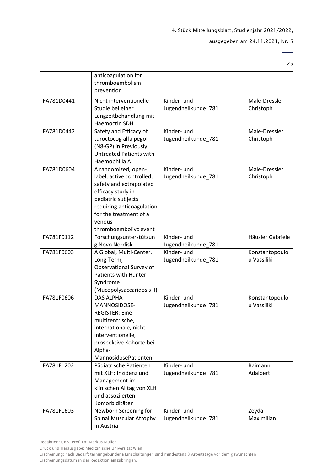#### ausgegeben am 24.11.2021, Nr. 5

25

 $\overline{\phantom{0}}$ 

|            | anticoagulation for<br>thromboembolism<br>prevention                                                                                                                                                             |                                    |                               |
|------------|------------------------------------------------------------------------------------------------------------------------------------------------------------------------------------------------------------------|------------------------------------|-------------------------------|
| FA781D0441 | Nicht interventionelle<br>Studie bei einer<br>Langzeitbehandlung mit<br>Haemoctin SDH                                                                                                                            | Kinder- und<br>Jugendheilkunde_781 | Male-Dressler<br>Christoph    |
| FA781D0442 | Safety and Efficacy of<br>turoctocog alfa pegol<br>(N8-GP) in Previously<br><b>Untreated Patients with</b><br>Haemophilia A                                                                                      | Kinder- und<br>Jugendheilkunde 781 | Male-Dressler<br>Christoph    |
| FA781D0604 | A randomized, open-<br>label, active controlled,<br>safety and extrapolated<br>efficacy study in<br>pediatric subjects<br>requiring anticoagulation<br>for the treatment of a<br>venous<br>thromboembolivc event | Kinder- und<br>Jugendheilkunde_781 | Male-Dressler<br>Christoph    |
| FA781F0112 | Forschungsunterstützun<br>g Novo Nordisk                                                                                                                                                                         | Kinder- und<br>Jugendheilkunde_781 | Häusler Gabriele              |
| FA781F0603 | A Global, Multi-Center,<br>Long-Term,<br>Observational Survey of<br><b>Patients with Hunter</b><br>Syndrome<br>(Mucopolysaccaridosis II)                                                                         | Kinder- und<br>Jugendheilkunde_781 | Konstantopoulo<br>u Vassiliki |
| FA781F0606 | <b>DAS ALPHA-</b><br>MANNOSIDOSE-<br><b>REGISTER: Eine</b><br>multizentrische,<br>internationale, nicht-<br>interventionelle,<br>prospektive Kohorte bei<br>Alpha-<br>MannosidosePatienten                       | Kinder- und<br>Jugendheilkunde_781 | Konstantopoulo<br>u Vassiliki |
| FA781F1202 | Pädiatrische Patienten<br>mit XLH: Inzidenz und<br>Management im<br>klinischen Alltag von XLH<br>und assoziierten<br>Komorbiditäten                                                                              | Kinder- und<br>Jugendheilkunde_781 | Raimann<br>Adalbert           |
| FA781F1603 | Newborn Screening for<br><b>Spinal Muscular Atrophy</b><br>in Austria                                                                                                                                            | Kinder- und<br>Jugendheilkunde_781 | Zeyda<br>Maximilian           |

Druck und Herausgabe: Medizinische Universität Wien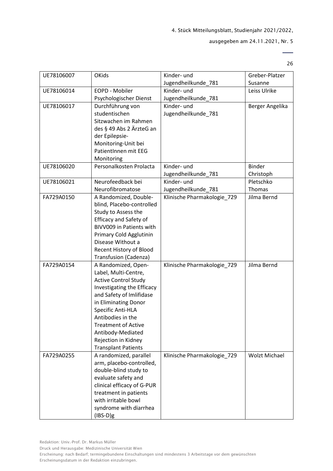#### ausgegeben am 24.11.2021, Nr. 5

 $\overline{\phantom{0}}$ 26

| UE78106007 | <b>OKids</b>                  | Kinder- und                 | Greber-Platzer       |
|------------|-------------------------------|-----------------------------|----------------------|
|            |                               | Jugendheilkunde_781         | Susanne              |
| UE78106014 | EOPD - Mobiler                | Kinder- und                 | Leiss Ulrike         |
|            | Psychologischer Dienst        | Jugendheilkunde_781         |                      |
| UE78106017 | Durchführung von              | Kinder- und                 | Berger Angelika      |
|            | studentischen                 | Jugendheilkunde_781         |                      |
|            | Sitzwachen im Rahmen          |                             |                      |
|            | des § 49 Abs 2 ÄrzteG an      |                             |                      |
|            | der Epilepsie-                |                             |                      |
|            | Monitoring-Unit bei           |                             |                      |
|            | PatientInnen mit EEG          |                             |                      |
|            | Monitoring                    |                             |                      |
| UE78106020 | Personalkosten Prolacta       | Kinder- und                 | <b>Binder</b>        |
|            |                               | Jugendheilkunde_781         | Christoph            |
| UE78106021 | Neurofeedback bei             | Kinder- und                 | Pletschko            |
|            | Neurofibromatose              | Jugendheilkunde_781         | Thomas               |
| FA729A0150 | A Randomized, Double-         | Klinische Pharmakologie_729 | Jilma Bernd          |
|            | blind, Placebo-controlled     |                             |                      |
|            | Study to Assess the           |                             |                      |
|            | <b>Efficacy and Safety of</b> |                             |                      |
|            | BIVV009 in Patients with      |                             |                      |
|            | Primary Cold Agglutinin       |                             |                      |
|            | Disease Without a             |                             |                      |
|            | Recent History of Blood       |                             |                      |
|            | Transfusion (Cadenza)         |                             |                      |
| FA729A0154 | A Randomized, Open-           | Klinische Pharmakologie_729 | Jilma Bernd          |
|            | Label, Multi-Centre,          |                             |                      |
|            | <b>Active Control Study</b>   |                             |                      |
|            | Investigating the Efficacy    |                             |                      |
|            | and Safety of Imlifidase      |                             |                      |
|            | in Eliminating Donor          |                             |                      |
|            | Specific Anti-HLA             |                             |                      |
|            | Antibodies in the             |                             |                      |
|            | <b>Treatment of Active</b>    |                             |                      |
|            | Antibody-Mediated             |                             |                      |
|            | Rejection in Kidney           |                             |                      |
|            | <b>Transplant Patients</b>    |                             |                      |
| FA729A0255 | A randomized, parallel        | Klinische Pharmakologie 729 | <b>Wolzt Michael</b> |
|            | arm, placebo-controlled,      |                             |                      |
|            | double-blind study to         |                             |                      |
|            | evaluate safety and           |                             |                      |
|            | clinical efficacy of G-PUR    |                             |                      |
|            | treatment in patients         |                             |                      |
|            | with irritable bowl           |                             |                      |
|            | syndrome with diarrhea        |                             |                      |
|            | $(IBS-D)g$                    |                             |                      |

Druck und Herausgabe: Medizinische Universität Wien

Erscheinung: nach Bedarf; termingebundene Einschaltungen sind mindestens 3 Arbeitstage vor dem gewünschten Erscheinungsdatum in der Redaktion einzubringen.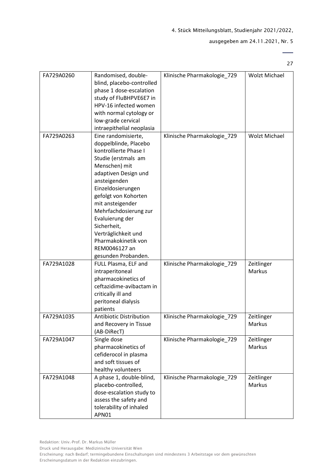#### ausgegeben am 24.11.2021, Nr. 5

27

 $\overline{a}$ 

| FA729A0260 | Randomised, double-<br>blind, placebo-controlled<br>phase 1 dose-escalation<br>study of FluBHPVE6E7 in<br>HPV-16 infected women<br>with normal cytology or<br>low-grade cervical<br>intraepithelial neoplasia                                                                                                                                                           | Klinische Pharmakologie_729 | <b>Wolzt Michael</b> |
|------------|-------------------------------------------------------------------------------------------------------------------------------------------------------------------------------------------------------------------------------------------------------------------------------------------------------------------------------------------------------------------------|-----------------------------|----------------------|
| FA729A0263 | Eine randomisierte,<br>doppelblinde, Placebo<br>kontrollierte Phase I<br>Studie (erstmals am<br>Menschen) mit<br>adaptiven Design und<br>ansteigenden<br>Einzeldosierungen<br>gefolgt von Kohorten<br>mit ansteigender<br>Mehrfachdosierung zur<br>Evaluierung der<br>Sicherheit,<br>Verträglichkeit und<br>Pharmakokinetik von<br>REM0046127 an<br>gesunden Probanden. | Klinische Pharmakologie_729 | <b>Wolzt Michael</b> |
| FA729A1028 | FULL Plasma, ELF and<br>intraperitoneal<br>pharmacokinetics of<br>ceftazidime-avibactam in<br>critically ill and<br>peritoneal dialysis<br>patients                                                                                                                                                                                                                     | Klinische Pharmakologie_729 | Zeitlinger<br>Markus |
| FA729A1035 | <b>Antibiotic Distribution</b><br>and Recovery in Tissue<br>(AB-DiRecT)                                                                                                                                                                                                                                                                                                 | Klinische Pharmakologie 729 | Zeitlinger<br>Markus |
| FA729A1047 | Single dose<br>pharmacokinetics of<br>cefiderocol in plasma<br>and soft tissues of<br>healthy volunteers                                                                                                                                                                                                                                                                | Klinische Pharmakologie_729 | Zeitlinger<br>Markus |
| FA729A1048 | A phase 1, double-blind,<br>placebo-controlled,<br>dose-escalation study to<br>assess the safety and<br>tolerability of inhaled<br>APN01                                                                                                                                                                                                                                | Klinische Pharmakologie_729 | Zeitlinger<br>Markus |

Druck und Herausgabe: Medizinische Universität Wien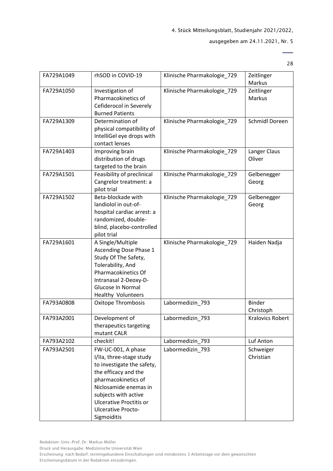#### ausgegeben am 24.11.2021, Nr. 5

28

| FA729A1049 | rhSOD in COVID-19                                                                                                                                                                                                                                          | Klinische Pharmakologie_729 | Zeitlinger<br>Markus       |
|------------|------------------------------------------------------------------------------------------------------------------------------------------------------------------------------------------------------------------------------------------------------------|-----------------------------|----------------------------|
| FA729A1050 | Investigation of<br>Pharmacokinetics of<br>Cefiderocol in Severely<br><b>Burned Patients</b>                                                                                                                                                               | Klinische Pharmakologie_729 | Zeitlinger<br>Markus       |
| FA729A1309 | Determination of<br>physical compatibility of<br>IntelliGel eye drops with<br>contact lenses                                                                                                                                                               | Klinische Pharmakologie_729 | <b>Schmidl Doreen</b>      |
| FA729A1403 | Improving brain<br>distribution of drugs<br>targeted to the brain                                                                                                                                                                                          | Klinische Pharmakologie 729 | Langer Claus<br>Oliver     |
| FA729A1501 | Feasibility of preclinical<br>Cangrelor treatment: a<br>pilot trial                                                                                                                                                                                        | Klinische Pharmakologie_729 | Gelbenegger<br>Georg       |
| FA729A1502 | Beta-blockade with<br>landiolol in out-of-<br>hospital cardiac arrest: a<br>randomized, double-<br>blind, placebo-controlled<br>pilot trial                                                                                                                | Klinische Pharmakologie_729 | Gelbenegger<br>Georg       |
| FA729A1601 | A Single/Multiple<br>Ascending Dose Phase 1<br>Study Of The Safety,<br>Tolerability, And<br>Pharmacokinetics Of<br>Intranasal 2-Deoxy-D-<br>Glucose In Normal<br><b>Healthy Volunteers</b>                                                                 | Klinische Pharmakologie_729 | Haiden Nadja               |
| FA793A0808 | Oxitope Thrombosis                                                                                                                                                                                                                                         | Labormedizin_793            | <b>Binder</b><br>Christoph |
| FA793A2001 | Development of<br>therapeutics targeting<br>mutant CALR                                                                                                                                                                                                    | Labormedizin 793            | <b>Kralovics Robert</b>    |
| FA793A2102 | checkit!                                                                                                                                                                                                                                                   | Labormedizin 793            | Luf Anton                  |
| FA793A2501 | FW-UC-001, A phase<br>I/IIa, three-stage study<br>to investigate the safety,<br>the efficacy and the<br>pharmacokinetics of<br>Niclosamide enemas in<br>subjects with active<br><b>Ulcerative Proctitis or</b><br><b>Ulcerative Procto-</b><br>Sigmoiditis | Labormedizin_793            | Schweiger<br>Christian     |

Druck und Herausgabe: Medizinische Universität Wien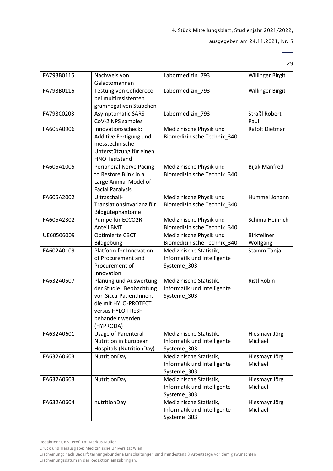#### ausgegeben am 24.11.2021, Nr. 5

29

 $\overline{a}$ 

| FA793B0115 | Nachweis von<br>Galactomannan                                                                                                                               | Labormedizin 793                                                      | <b>Willinger Birgit</b>        |
|------------|-------------------------------------------------------------------------------------------------------------------------------------------------------------|-----------------------------------------------------------------------|--------------------------------|
| FA793B0116 | Testung von Cefiderocol<br>bei multiresistenten<br>gramnegativen Stäbchen                                                                                   | Labormedizin_793                                                      | Willinger Birgit               |
| FA793C0203 | <b>Asymptomatic SARS-</b><br>CoV-2 NPS samples                                                                                                              | Labormedizin_793                                                      | <b>Straßl Robert</b><br>Paul   |
| FA605A0906 | Innovationsscheck:<br>Additive Fertigung und<br>messtechnische<br>Unterstützung für einen<br><b>HNO Teststand</b>                                           | Medizinische Physik und<br>Biomedizinische Technik 340                | Rafolt Dietmar                 |
| FA605A1005 | <b>Peripheral Nerve Pacing</b><br>to Restore Blink in a<br>Large Animal Model of<br><b>Facial Paralysis</b>                                                 | Medizinische Physik und<br>Biomedizinische Technik_340                | <b>Bijak Manfred</b>           |
| FA605A2002 | Ultraschall-<br>Translationsinvarianz für<br>Bildgütephantome                                                                                               | Medizinische Physik und<br>Biomedizinische Technik_340                | Hummel Johann                  |
| FA605A2302 | Pumpe für ECCO2R -<br><b>Anteil BMT</b>                                                                                                                     | Medizinische Physik und<br>Biomedizinische Technik 340                | Schima Heinrich                |
| UE60506009 | Optimierte CBCT<br>Bildgebung                                                                                                                               | Medizinische Physik und<br>Biomedizinische Technik_340                | <b>Birkfellner</b><br>Wolfgang |
| FA602A0109 | Platform for Innovation<br>of Procurement and<br>Procurement of<br>Innovation                                                                               | Medizinische Statistik,<br>Informatik und Intelligente<br>Systeme_303 | Stamm Tanja                    |
| FA632A0507 | Planung und Auswertung<br>der Studie "Beobachtung<br>von Sicca-PatientInnen.<br>die mit HYLO-PROTECT<br>versus HYLO-FRESH<br>behandelt werden"<br>(HYPRODA) | Medizinische Statistik,<br>Informatik und Intelligente<br>Systeme 303 | <b>Ristl Robin</b>             |
| FA632A0601 | <b>Usage of Parenteral</b><br>Nutrition in European<br>Hospitals (NutritionDay)                                                                             | Medizinische Statistik,<br>Informatik und Intelligente<br>Systeme_303 | Hiesmayr Jörg<br>Michael       |
| FA632A0603 | NutritionDay                                                                                                                                                | Medizinische Statistik,<br>Informatik und Intelligente<br>Systeme_303 | Hiesmayr Jörg<br>Michael       |
| FA632A0603 | NutritionDay                                                                                                                                                | Medizinische Statistik,<br>Informatik und Intelligente<br>Systeme_303 | Hiesmayr Jörg<br>Michael       |
| FA632A0604 | nutritionDay                                                                                                                                                | Medizinische Statistik,<br>Informatik und Intelligente<br>Systeme_303 | Hiesmayr Jörg<br>Michael       |

Druck und Herausgabe: Medizinische Universität Wien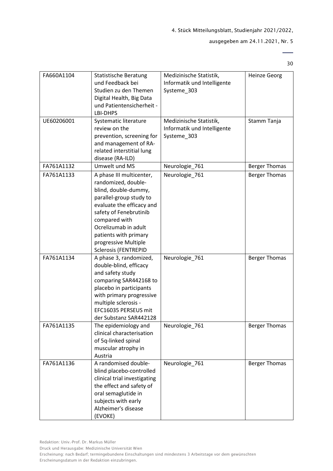#### ausgegeben am 24.11.2021, Nr. 5

30

 $\overline{\phantom{0}}$ 

| FA660A1104 | <b>Statistische Beratung</b><br>und Feedback bei<br>Studien zu den Themen<br>Digital Health, Big Data<br>und Patientensicherheit -<br>LBI-DHPS                                                                                                                                     | Medizinische Statistik,<br>Informatik und Intelligente<br>Systeme_303 | <b>Heinze Georg</b>  |
|------------|------------------------------------------------------------------------------------------------------------------------------------------------------------------------------------------------------------------------------------------------------------------------------------|-----------------------------------------------------------------------|----------------------|
| UE60206001 | Systematic literature<br>review on the<br>prevention, screening for<br>and management of RA-<br>related interstitial lung<br>disease (RA-ILD)                                                                                                                                      | Medizinische Statistik,<br>Informatik und Intelligente<br>Systeme_303 | Stamm Tanja          |
| FA761A1132 | Umwelt und MS                                                                                                                                                                                                                                                                      | Neurologie_761                                                        | <b>Berger Thomas</b> |
| FA761A1133 | A phase III multicenter,<br>randomized, double-<br>blind, double-dummy,<br>parallel-group study to<br>evaluate the efficacy and<br>safety of Fenebrutinib<br>compared with<br>Ocrelizumab in adult<br>patients with primary<br>progressive Multiple<br><b>Sclerosis (FENTREPID</b> | Neurologie_761                                                        | <b>Berger Thomas</b> |
| FA761A1134 | A phase 3, randomized,<br>double-blind, efficacy<br>and safety study<br>comparing SAR442168 to<br>placebo in participants<br>with primary progressive<br>multiple sclerosis -<br>EFC16035 PERSEUS mit<br>der Substanz SAR442128                                                    | Neurologie_761                                                        | <b>Berger Thomas</b> |
| FA761A1135 | The epidemiology and<br>clinical characterisation<br>of 5q-linked spinal<br>muscular atrophy in<br>Austria                                                                                                                                                                         | Neurologie_761                                                        | <b>Berger Thomas</b> |
| FA761A1136 | A randomised double-<br>blind placebo-controlled<br>clinical trial investigating<br>the effect and safety of<br>oral semaglutide in<br>subjects with early<br>Alzheimer's disease<br>(EVOKE)                                                                                       | Neurologie 761                                                        | <b>Berger Thomas</b> |

Druck und Herausgabe: Medizinische Universität Wien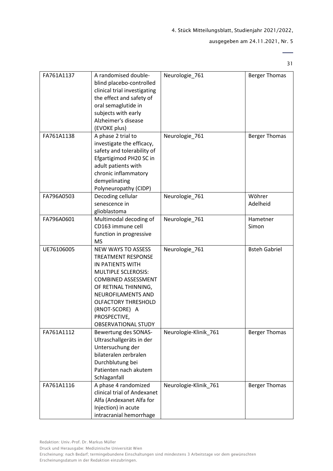#### ausgegeben am 24.11.2021, Nr. 5

31

 $\overline{\phantom{0}}$ 

| FA761A1137 | A randomised double-<br>blind placebo-controlled<br>clinical trial investigating<br>the effect and safety of<br>oral semaglutide in<br>subjects with early<br>Alzheimer's disease<br>(EVOKE plus)                                                                                  | Neurologie 761        | <b>Berger Thomas</b> |
|------------|------------------------------------------------------------------------------------------------------------------------------------------------------------------------------------------------------------------------------------------------------------------------------------|-----------------------|----------------------|
| FA761A1138 | A phase 2 trial to<br>investigate the efficacy,<br>safety and tolerability of<br>Efgartigimod PH20 SC in<br>adult patients with<br>chronic inflammatory<br>demyelinating<br>Polyneuropathy (CIDP)                                                                                  | Neurologie_761        | <b>Berger Thomas</b> |
| FA796A0503 | Decoding cellular<br>senescence in<br>glioblastoma                                                                                                                                                                                                                                 | Neurologie 761        | Wöhrer<br>Adelheid   |
| FA796A0601 | Multimodal decoding of<br>CD163 immune cell<br>function in progressive<br><b>MS</b>                                                                                                                                                                                                | Neurologie_761        | Hametner<br>Simon    |
| UE76106005 | <b>NEW WAYS TO ASSESS</b><br><b>TREATMENT RESPONSE</b><br>IN PATIENTS WITH<br><b>MULTIPLE SCLEROSIS:</b><br><b>COMBINED ASSESSMENT</b><br>OF RETINAL THINNING,<br>NEUROFILAMENTS AND<br><b>OLFACTORY THRESHOLD</b><br>(RNOT-SCORE) A<br>PROSPECTIVE,<br><b>OBSERVATIONAL STUDY</b> | Neurologie_761        | <b>Bsteh Gabriel</b> |
| FA761A1112 | Bewertung des SONAS-<br>Ultraschallgeräts in der<br>Untersuchung der<br>bilateralen zerbralen<br>Durchblutung bei<br>Patienten nach akutem<br>Schlaganfall                                                                                                                         | Neurologie-Klinik_761 | <b>Berger Thomas</b> |
| FA761A1116 | A phase 4 randomized<br>clinical trial of Andexanet<br>Alfa (Andexanet Alfa for<br>Injection) in acute<br>intracranial hemorrhage                                                                                                                                                  | Neurologie-Klinik 761 | <b>Berger Thomas</b> |

Druck und Herausgabe: Medizinische Universität Wien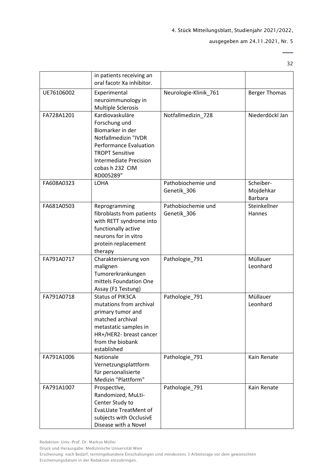#### ausgegeben am 24.11.2021, Nr. 5

32

 $\overline{a}$ 

|            | in patients receiving an<br>oral facotr Xa inhibitor.                                                                                                                                                    |                                   |                                          |
|------------|----------------------------------------------------------------------------------------------------------------------------------------------------------------------------------------------------------|-----------------------------------|------------------------------------------|
| UE76106002 | Experimental<br>neuroimmunology in<br><b>Multiple Sclerosis</b>                                                                                                                                          | Neurologie-Klinik_761             | <b>Berger Thomas</b>                     |
| FA728A1201 | Kardiovaskuläre<br>Forschung und<br>Biomarker in der<br>Notfallmedizin "IVDR<br><b>Performance Evaluation</b><br><b>TROPT Sensitive</b><br><b>Intermediate Precision</b><br>cobas h 232 CIM<br>RD005289" | Notfallmedizin_728                | Niederdöckl Jan                          |
| FA608A0323 | LOHA                                                                                                                                                                                                     | Pathobiochemie und<br>Genetik_306 | Scheiber-<br>Mojdehkar<br><b>Barbara</b> |
| FA681A0503 | Reprogramming<br>fibroblasts from patients<br>with RETT syndrome into<br>functionally active<br>neurons for in vitro<br>protein replacement<br>therapy                                                   | Pathobiochemie und<br>Genetik_306 | Steinkellner<br>Hannes                   |
| FA791A0717 | Charakterisierung von<br>malignen<br>Tumorerkrankungen<br>mittels Foundation One<br>Assay (F1 Testung)                                                                                                   | Pathologie_791                    | Müllauer<br>Leonhard                     |
| FA791A0718 | <b>Status of PIK3CA</b><br>mutations from archival<br>primary tumor and<br>matched archival<br>metastatic samples in<br>HR+/HER2- breast cancer<br>from the biobank<br>established                       | Pathologie_791                    | Müllauer<br>Leonhard                     |
| FA791A1006 | <b>Nationale</b><br>Vernetzungsplattform<br>für personalisierte<br>Medizin "Plattform"                                                                                                                   | Pathologie_791                    | Kain Renate                              |
| FA791A1007 | Prospective,<br>Randomized, MuLti-<br>Center Study to<br><b>EvaLUate TreatMent of</b><br>subjects with OcclusivE<br>Disease with a Novel                                                                 | Pathologie 791                    | Kain Renate                              |

Redaktion: Univ.-Prof. Dr. Markus Müller

Druck und Herausgabe: Medizinische Universität Wien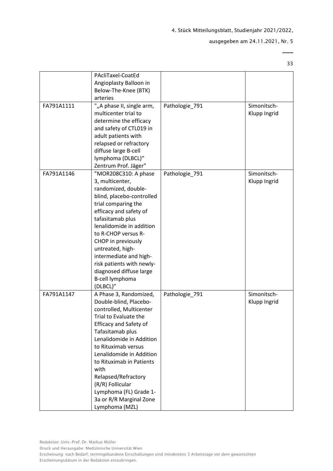#### ausgegeben am 24.11.2021, Nr. 5

 $\overline{\phantom{0}}$ 33

| FA791A1111 | PAcliTaxel-CoatEd<br>Angioplasty Balloon in<br>Below-The-Knee (BTK)<br>arteries<br>""A phase II, single arm,<br>multicenter trial to<br>determine the efficacy<br>and safety of CTL019 in<br>adult patients with<br>relapsed or refractory<br>diffuse large B-cell<br>lymphoma (DLBCL)"<br>Zentrum Prof. Jäger"                                                                                | Pathologie_791 | Simonitsch-<br>Klupp Ingrid |
|------------|------------------------------------------------------------------------------------------------------------------------------------------------------------------------------------------------------------------------------------------------------------------------------------------------------------------------------------------------------------------------------------------------|----------------|-----------------------------|
| FA791A1146 | "MOR208C310: A phase<br>3, multicenter,<br>randomized, double-<br>blind, placebo-controlled<br>trial comparing the<br>efficacy and safety of<br>tafasitamab plus<br>lenalidomide in addition<br>to R-CHOP versus R-<br>CHOP in previously<br>untreated, high-<br>intermediate and high-<br>risk patients with newly-<br>diagnosed diffuse large<br>B-cell lymphoma<br>(DLBCL)"                 | Pathologie_791 | Simonitsch-<br>Klupp Ingrid |
| FA791A1147 | A Phase 3, Randomized,<br>Double-blind, Placebo-<br>controlled, Multicenter<br>Trial to Evaluate the<br><b>Efficacy and Safety of</b><br>Tafasitamab plus<br>Lenalidomide in Addition<br>to Rituximab versus<br>Lenalidomide in Addition<br>to Rituximab in Patients<br>with<br>Relapsed/Refractory<br>(R/R) Follicular<br>Lymphoma (FL) Grade 1-<br>3a or R/R Marginal Zone<br>Lymphoma (MZL) | Pathologie_791 | Simonitsch-<br>Klupp Ingrid |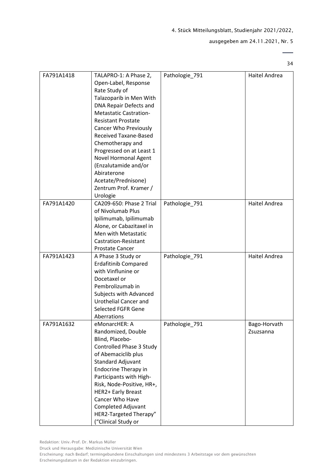#### ausgegeben am 24.11.2021, Nr. 5

34

 $\overline{\phantom{0}}$ 

| FA791A1418 | TALAPRO-1: A Phase 2,<br>Open-Label, Response<br>Rate Study of<br>Talazoparib in Men With<br>DNA Repair Defects and<br><b>Metastatic Castration-</b><br><b>Resistant Prostate</b><br><b>Cancer Who Previously</b><br>Received Taxane-Based<br>Chemotherapy and<br>Progressed on at Least 1<br>Novel Hormonal Agent<br>(Enzalutamide and/or<br>Abiraterone<br>Acetate/Prednisone)<br>Zentrum Prof. Kramer / | Pathologie_791 | Haitel Andrea             |
|------------|------------------------------------------------------------------------------------------------------------------------------------------------------------------------------------------------------------------------------------------------------------------------------------------------------------------------------------------------------------------------------------------------------------|----------------|---------------------------|
| FA791A1420 | Urologie<br>CA209-650: Phase 2 Trial<br>of Nivolumab Plus<br>Ipilimumab, Ipilimumab<br>Alone, or Cabazitaxel in<br>Men with Metastatic<br>Castration-Resistant<br><b>Prostate Cancer</b>                                                                                                                                                                                                                   | Pathologie_791 | Haitel Andrea             |
| FA791A1423 | A Phase 3 Study or<br><b>Erdafitinib Compared</b><br>with Vinflunine or<br>Docetaxel or<br>Pembrolizumab in<br>Subjects with Advanced<br>Urothelial Cancer and<br><b>Selected FGFR Gene</b><br>Aberrations                                                                                                                                                                                                 | Pathologie_791 | Haitel Andrea             |
| FA791A1632 | eMonarcHER: A<br>Randomized, Double<br>Blind, Placebo-<br>Controlled Phase 3 Study<br>of Abemaciclib plus<br>Standard Adjuvant<br><b>Endocrine Therapy in</b><br>Participants with High-<br>Risk, Node-Positive, HR+,<br>HER2+ Early Breast<br>Cancer Who Have<br>Completed Adjuvant<br>HER2-Targeted Therapy"<br>("Clinical Study or                                                                      | Pathologie_791 | Bago-Horvath<br>Zsuzsanna |

Druck und Herausgabe: Medizinische Universität Wien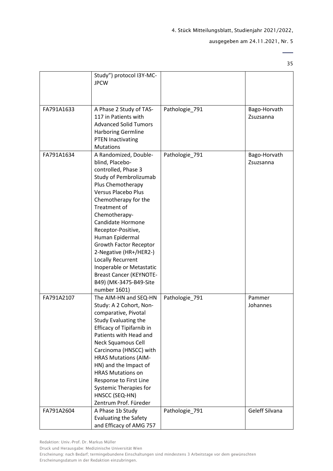#### ausgegeben am 24.11.2021, Nr. 5

35

 $\overline{\phantom{0}}$ 

|            | Study") protocol I3Y-MC-<br><b>JPCW</b>                                                                                                                                                                                                                                                                                                                                                                                                                            |                |                           |
|------------|--------------------------------------------------------------------------------------------------------------------------------------------------------------------------------------------------------------------------------------------------------------------------------------------------------------------------------------------------------------------------------------------------------------------------------------------------------------------|----------------|---------------------------|
| FA791A1633 | A Phase 2 Study of TAS-<br>117 in Patients with<br><b>Advanced Solid Tumors</b><br><b>Harboring Germline</b><br><b>PTEN Inactivating</b><br><b>Mutations</b>                                                                                                                                                                                                                                                                                                       | Pathologie_791 | Bago-Horvath<br>Zsuzsanna |
| FA791A1634 | A Randomized, Double-<br>blind, Placebo-<br>controlled, Phase 3<br>Study of Pembrolizumab<br>Plus Chemotherapy<br><b>Versus Placebo Plus</b><br>Chemotherapy for the<br><b>Treatment of</b><br>Chemotherapy-<br>Candidate Hormone<br>Receptor-Positive,<br>Human Epidermal<br><b>Growth Factor Receptor</b><br>2-Negative (HR+/HER2-)<br>Locally Recurrent<br>Inoperable or Metastatic<br><b>Breast Cancer (KEYNOTE-</b><br>B49) (MK-3475-B49-Site<br>number 1601) | Pathologie_791 | Bago-Horvath<br>Zsuzsanna |
| FA791A2107 | The AIM-HN and SEQ-HN<br>Study: A 2 Cohort, Non-<br>comparative, Pivotal<br>Study Evaluating the<br>Efficacy of Tipifarnib in<br>Patients with Head and<br><b>Neck Squamous Cell</b><br>Carcinoma (HNSCC) with<br><b>HRAS Mutations (AIM-</b><br>HN) and the Impact of<br><b>HRAS Mutations on</b><br>Response to First Line<br><b>Systemic Therapies for</b><br>HNSCC (SEQ-HN)<br>Zentrum Prof. Füreder                                                           | Pathologie 791 | Pammer<br>Johannes        |
| FA791A2604 | A Phase 1b Study<br><b>Evaluating the Safety</b><br>and Efficacy of AMG 757                                                                                                                                                                                                                                                                                                                                                                                        | Pathologie_791 | Geleff Silvana            |

Redaktion: Univ.-Prof. Dr. Markus Müller

Druck und Herausgabe: Medizinische Universität Wien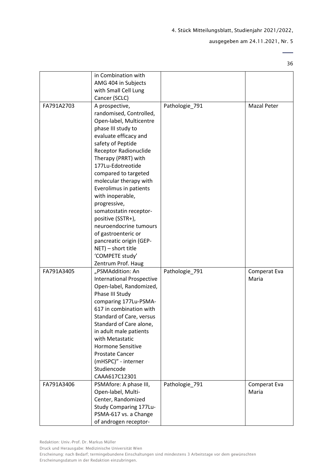#### ausgegeben am 24.11.2021, Nr. 5

 $\overline{\phantom{0}}$ 36

|            | in Combination with<br>AMG 404 in Subjects                                                                                                                                                                                                                                                                                                                                                                                                                                            |                |                       |
|------------|---------------------------------------------------------------------------------------------------------------------------------------------------------------------------------------------------------------------------------------------------------------------------------------------------------------------------------------------------------------------------------------------------------------------------------------------------------------------------------------|----------------|-----------------------|
|            | with Small Cell Lung                                                                                                                                                                                                                                                                                                                                                                                                                                                                  |                |                       |
|            | Cancer (SCLC)                                                                                                                                                                                                                                                                                                                                                                                                                                                                         |                |                       |
| FA791A2703 | A prospective,<br>randomised, Controlled,<br>Open-label, Multicentre<br>phase III study to<br>evaluate efficacy and<br>safety of Peptide<br><b>Receptor Radionuclide</b><br>Therapy (PRRT) with<br>177Lu-Edotreotide<br>compared to targeted<br>molecular therapy with<br>Everolimus in patients<br>with inoperable,<br>progressive,<br>somatostatin receptor-<br>positive (SSTR+),<br>neuroendocrine tumours<br>of gastroenteric or<br>pancreatic origin (GEP-<br>NET) - short title | Pathologie_791 | Mazal Peter           |
|            | 'COMPETE study'                                                                                                                                                                                                                                                                                                                                                                                                                                                                       |                |                       |
|            | Zentrum Prof. Haug                                                                                                                                                                                                                                                                                                                                                                                                                                                                    |                |                       |
| FA791A3405 | "PSMAddition: An<br><b>International Prospective</b><br>Open-label, Randomized,<br>Phase III Study<br>comparing 177Lu-PSMA-<br>617 in combination with<br>Standard of Care, versus<br>Standard of Care alone,<br>in adult male patients<br>with Metastatic<br><b>Hormone Sensitive</b><br><b>Prostate Cancer</b><br>(mHSPC)" - interner<br>Studiencode<br>CAAA617C12301                                                                                                               | Pathologie_791 | Comperat Eva<br>Maria |
| FA791A3406 | PSMAfore: A phase III,<br>Open-label, Multi-<br>Center, Randomized<br>Study Comparing 177Lu-<br>PSMA-617 vs. a Change<br>of androgen receptor-                                                                                                                                                                                                                                                                                                                                        | Pathologie 791 | Comperat Eva<br>Maria |

Druck und Herausgabe: Medizinische Universität Wien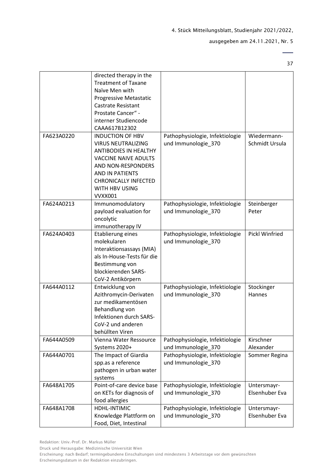ausgegeben am 24.11.2021, Nr. 5

37

|            | directed therapy in the<br><b>Treatment of Taxane</b> |                                 |                       |
|------------|-------------------------------------------------------|---------------------------------|-----------------------|
|            | Naïve Men with                                        |                                 |                       |
|            | Progressive Metastatic                                |                                 |                       |
|            | <b>Castrate Resistant</b>                             |                                 |                       |
|            | Prostate Cancer" -                                    |                                 |                       |
|            | interner Studiencode                                  |                                 |                       |
|            | CAAA617B12302                                         |                                 |                       |
| FA623A0220 | <b>INDUCTION OF HBV</b>                               | Pathophysiologie, Infektiologie | Wiedermann-           |
|            | <b>VIRUS NEUTRALIZING</b>                             | und Immunologie_370             | Schmidt Ursula        |
|            | <b>ANTIBODIES IN HEALTHY</b>                          |                                 |                       |
|            | <b>VACCINE NAIVE ADULTS</b>                           |                                 |                       |
|            | AND NON-RESPONDERS                                    |                                 |                       |
|            | AND IN PATIENTS                                       |                                 |                       |
|            | <b>CHRONICALLY INFECTED</b>                           |                                 |                       |
|            | <b>WITH HBV USING</b>                                 |                                 |                       |
|            | <b>VVXX001</b>                                        |                                 |                       |
| FA624A0213 | Immunomodulatory                                      | Pathophysiologie, Infektiologie | Steinberger           |
|            | payload evaluation for                                | und Immunologie_370             | Peter                 |
|            | oncolytic                                             |                                 |                       |
|            | immunotherapy IV                                      |                                 |                       |
| FA624A0403 | Etablierung eines                                     | Pathophysiologie, Infektiologie | <b>Pickl Winfried</b> |
|            | molekularen                                           | und Immunologie_370             |                       |
|            | Interaktionsassays (MIA)                              |                                 |                       |
|            | als In-House-Tests für die                            |                                 |                       |
|            | Bestimmung von                                        |                                 |                       |
|            | blockierenden SARS-                                   |                                 |                       |
|            | CoV-2 Antikörpern                                     |                                 |                       |
| FA644A0112 | Entwicklung von                                       | Pathophysiologie, Infektiologie | Stockinger            |
|            | Azithromycin-Derivaten                                | und Immunologie_370             | Hannes                |
|            | zur medikamentösen                                    |                                 |                       |
|            | Behandlung von                                        |                                 |                       |
|            | Infektionen durch SARS-                               |                                 |                       |
|            | CoV-2 und anderen                                     |                                 |                       |
|            | behüllten Viren                                       |                                 |                       |
| FA644A0509 | Vienna Water Ressource                                | Pathophysiologie, Infektiologie | Kirschner             |
|            | Systems 2020+                                         | und Immunologie_370             | Alexander             |
| FA644A0701 | The Impact of Giardia                                 | Pathophysiologie, Infektiologie | Sommer Regina         |
|            | spp.as a reference                                    | und Immunologie_370             |                       |
|            | pathogen in urban water                               |                                 |                       |
|            | systems                                               |                                 |                       |
| FA648A1705 | Point-of-care device base                             | Pathophysiologie, Infektiologie | Untersmayr-           |
|            | on KETs for diagnosis of                              | und Immunologie 370             | Elsenhuber Eva        |
|            | food allergies                                        |                                 |                       |
| FA648A1708 | HDHL-INTIMIC                                          | Pathophysiologie, Infektiologie | Untersmayr-           |
|            | Knowledge Plattform on                                | und Immunologie_370             | Elsenhuber Eva        |
|            | Food, Diet, Intestinal                                |                                 |                       |

Druck und Herausgabe: Medizinische Universität Wien

Erscheinung: nach Bedarf; termingebundene Einschaltungen sind mindestens 3 Arbeitstage vor dem gewünschten Erscheinungsdatum in der Redaktion einzubringen.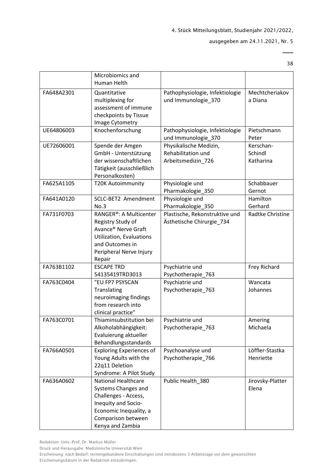#### ausgegeben am 24.11.2021, Nr. 5

38

 $\overline{a}$ 

|            | Microbiomics and<br>Human Helth                                                                                                                                      |                                                                    |                                   |
|------------|----------------------------------------------------------------------------------------------------------------------------------------------------------------------|--------------------------------------------------------------------|-----------------------------------|
| FA648A2301 | Quantitative<br>multiplexing for<br>assessment of immune<br>checkpoints by Tissue<br>Image Cytometry                                                                 | Pathophysiologie, Infektiologie<br>und Immunologie 370             | Mechtcheriakov<br>a Diana         |
| UE64806003 | Knochenforschung                                                                                                                                                     | Pathophysiologie, Infektiologie<br>und Immunologie_370             | Pietschmann<br>Peter              |
| UE72606001 | Spende der Amgen<br>GmbH - Unterstützung<br>der wissenschaftlichen<br>Tätigkeit (ausschließlich<br>Personalkosten)                                                   | Physikalische Medizin,<br>Rehabilitation und<br>Arbeitsmedizin_726 | Kerschan-<br>Schindl<br>Katharina |
| FA625A1105 | <b>T20K Autoimmunity</b>                                                                                                                                             | Physiologie und<br>Pharmakologie 350                               | Schabbauer<br>Gernot              |
| FA641A0120 | SCLC-BET2 Amendment<br>No.3                                                                                                                                          | Physiologie und<br>Pharmakologie_350                               | Hamilton<br>Gerhard               |
| FA731F0703 | RANGER®: A Multicenter<br>Registry Study of<br>Avance® Nerve Graft<br>Utilization, Evaluations<br>and Outcomes in<br>Peripheral Nerve Injury<br>Repair               | Plastische, Rekonstruktive und<br>Ästhetische Chirurgie_734        | Radtke Christine                  |
| FA763B1102 | <b>ESCAPE TRD</b><br>54135419TRD3013                                                                                                                                 | Psychiatrie und<br>Psychotherapie_763                              | Frey Richard                      |
| FA763C0404 | "EU FP7 PSYSCAN<br>Translating<br>neuroimaging findings<br>from research into<br>clinical practice"                                                                  | Psychiatrie und<br>Psychotherapie_763                              | Wancata<br>Johannes               |
| FA763C0701 | Thiaminsubstitution bei<br>Alkoholabhängigkeit:<br>Evaluierung aktueller<br>Behandlungsstandards                                                                     | Psychiatrie und<br>Psychotherapie_763                              | Amering<br>Michaela               |
| FA766A0501 | <b>Exploring Experiences of</b><br>Young Adults with the<br>22q11 Deletion<br>Syndrome: A Pilot Study                                                                | Psychoanalyse und<br>Psychotherapie_766                            | Löffler-Stastka<br>Henriette      |
| FA636A0602 | <b>National Healthcare</b><br>Systems Changes and<br>Challenges - Access,<br>Inequity and Socio-<br>Economic Inequality, a<br>Comparison between<br>Kenya and Zambia | Public Health_380                                                  | Jirovsky-Platter<br>Elena         |

Redaktion: Univ.-Prof. Dr. Markus Müller

Druck und Herausgabe: Medizinische Universität Wien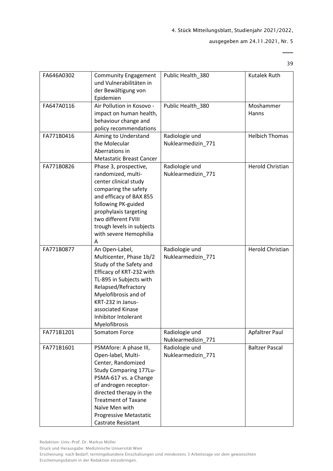#### ausgegeben am 24.11.2021, Nr. 5

39

| FA646A0302 | <b>Community Engagement</b><br>und Vulnerabilitäten in<br>der Bewältigung von<br>Epidemien                                                                                                                                                                                | Public Health_380                    | Kutalek Ruth            |
|------------|---------------------------------------------------------------------------------------------------------------------------------------------------------------------------------------------------------------------------------------------------------------------------|--------------------------------------|-------------------------|
| FA647A0116 | Air Pollution in Kosovo -<br>impact on human health,<br>behaviour change and<br>policy recommendations                                                                                                                                                                    | Public Health 380                    | Moshammer<br>Hanns      |
| FA771B0416 | Aiming to Understand<br>the Molecular<br>Aberrations in<br><b>Metastatic Breast Cancer</b>                                                                                                                                                                                | Radiologie und<br>Nuklearmedizin_771 | <b>Helbich Thomas</b>   |
| FA771B0826 | Phase 3, prospective,<br>randomized, multi-<br>center clinical study<br>comparing the safety<br>and efficacy of BAX 855<br>following PK-guided<br>prophylaxis targeting<br>two different FVIII<br>trough levels in subjects<br>with severe Hemophilia<br>Α                | Radiologie und<br>Nuklearmedizin_771 | <b>Herold Christian</b> |
| FA771B0877 | An Open-Label,<br>Multicenter, Phase 1b/2<br>Study of the Safety and<br>Efficacy of KRT-232 with<br>TL-895 in Subjects with<br>Relapsed/Refractory<br>Myelofibrosis and of<br>KRT-232 in Janus-<br>associated Kinase<br>Inhibitor Intolerant<br>Myelofibrosis             | Radiologie und<br>Nuklearmedizin_771 | <b>Herold Christian</b> |
| FA771B1201 | Somatom Force                                                                                                                                                                                                                                                             | Radiologie und<br>Nuklearmedizin 771 | Apfaltrer Paul          |
| FA771B1601 | PSMAfore: A phase III,<br>Open-label, Multi-<br>Center, Randomized<br>Study Comparing 177Lu-<br>PSMA-617 vs. a Change<br>of androgen receptor-<br>directed therapy in the<br><b>Treatment of Taxane</b><br>Naïve Men with<br>Progressive Metastatic<br>Castrate Resistant | Radiologie und<br>Nuklearmedizin_771 | <b>Baltzer Pascal</b>   |

Druck und Herausgabe: Medizinische Universität Wien

Erscheinung: nach Bedarf; termingebundene Einschaltungen sind mindestens 3 Arbeitstage vor dem gewünschten Erscheinungsdatum in der Redaktion einzubringen.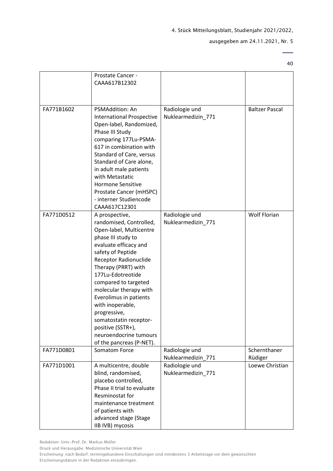#### ausgegeben am 24.11.2021, Nr. 5

40

|            | Prostate Cancer -                |                    |                       |
|------------|----------------------------------|--------------------|-----------------------|
|            | CAAA617B12302                    |                    |                       |
|            |                                  |                    |                       |
|            |                                  |                    |                       |
| FA771B1602 | <b>PSMAddition: An</b>           | Radiologie und     | <b>Baltzer Pascal</b> |
|            | <b>International Prospective</b> | Nuklearmedizin_771 |                       |
|            |                                  |                    |                       |
|            | Open-label, Randomized,          |                    |                       |
|            | Phase III Study                  |                    |                       |
|            | comparing 177Lu-PSMA-            |                    |                       |
|            | 617 in combination with          |                    |                       |
|            | Standard of Care, versus         |                    |                       |
|            | Standard of Care alone,          |                    |                       |
|            | in adult male patients           |                    |                       |
|            | with Metastatic                  |                    |                       |
|            | <b>Hormone Sensitive</b>         |                    |                       |
|            | Prostate Cancer (mHSPC)          |                    |                       |
|            | - interner Studiencode           |                    |                       |
|            | CAAA617C12301                    |                    |                       |
| FA771D0512 | A prospective,                   | Radiologie und     | <b>Wolf Florian</b>   |
|            | randomised, Controlled,          | Nuklearmedizin_771 |                       |
|            | Open-label, Multicentre          |                    |                       |
|            | phase III study to               |                    |                       |
|            | evaluate efficacy and            |                    |                       |
|            |                                  |                    |                       |
|            | safety of Peptide                |                    |                       |
|            | <b>Receptor Radionuclide</b>     |                    |                       |
|            | Therapy (PRRT) with              |                    |                       |
|            | 177Lu-Edotreotide                |                    |                       |
|            | compared to targeted             |                    |                       |
|            | molecular therapy with           |                    |                       |
|            | Everolimus in patients           |                    |                       |
|            | with inoperable,                 |                    |                       |
|            | progressive,                     |                    |                       |
|            | somatostatin receptor-           |                    |                       |
|            | positive (SSTR+),                |                    |                       |
|            | neuroendocrine tumours           |                    |                       |
|            | of the pancreas (P-NET).         |                    |                       |
| FA771D0801 | Somatom Force                    | Radiologie und     | Schernthaner          |
|            |                                  | Nuklearmedizin_771 | Rüdiger               |
| FA771D1001 | A multicentre, double            | Radiologie und     | Loewe Christian       |
|            | blind, randomised,               | Nuklearmedizin_771 |                       |
|            | placebo controlled,              |                    |                       |
|            | Phase II trial to evaluate       |                    |                       |
|            | Resminostat for                  |                    |                       |
|            | maintenance treatment            |                    |                       |
|            | of patients with                 |                    |                       |
|            |                                  |                    |                       |
|            | advanced stage (Stage            |                    |                       |
|            | IIB IVB) mycosis                 |                    |                       |

Druck und Herausgabe: Medizinische Universität Wien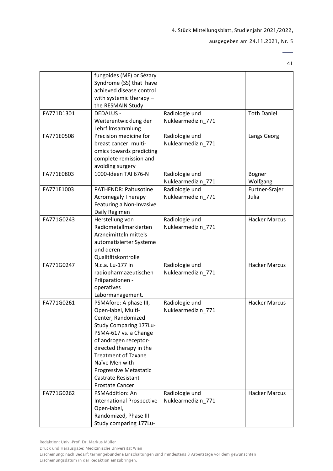ausgegeben am 24.11.2021, Nr. 5

41

 $\overline{\phantom{0}}$ 

|            | fungoides (MF) or Sézary<br>Syndrome (SS) that have<br>achieved disease control<br>with systemic therapy -<br>the RESMAIN Study                                                                                                                                                                            |                                      |                           |
|------------|------------------------------------------------------------------------------------------------------------------------------------------------------------------------------------------------------------------------------------------------------------------------------------------------------------|--------------------------------------|---------------------------|
| FA771D1301 | <b>DEDALUS -</b><br>Weiterentwicklung der<br>Lehrfilmsammlung                                                                                                                                                                                                                                              | Radiologie und<br>Nuklearmedizin_771 | <b>Toth Daniel</b>        |
| FA771E0508 | Precision medicine for<br>breast cancer: multi-<br>omics towards predicting<br>complete remission and<br>avoiding surgery                                                                                                                                                                                  | Radiologie und<br>Nuklearmedizin_771 | Langs Georg               |
| FA771E0803 | 1000-Ideen TAI 676-N                                                                                                                                                                                                                                                                                       | Radiologie und<br>Nuklearmedizin_771 | <b>Bogner</b><br>Wolfgang |
| FA771E1003 | <b>PATHFNDR: Paltusotine</b><br><b>Acromegaly Therapy</b><br>Featuring a Non-Invasive<br>Daily Regimen                                                                                                                                                                                                     | Radiologie und<br>Nuklearmedizin_771 | Furtner-Srajer<br>Julia   |
| FA771G0243 | Herstellung von<br>Radiometallmarkierten<br>Arzneimitteln mittels<br>automatisierter Systeme<br>und deren<br>Qualitätskontrolle                                                                                                                                                                            | Radiologie und<br>Nuklearmedizin_771 | <b>Hacker Marcus</b>      |
| FA771G0247 | N.c.a. Lu-177 in<br>radiopharmazeutischen<br>Präparationen -<br>operatives<br>Labormanagement.                                                                                                                                                                                                             | Radiologie und<br>Nuklearmedizin_771 | <b>Hacker Marcus</b>      |
| FA771G0261 | PSMAfore: A phase III,<br>Open-label, Multi-<br>Center, Randomized<br>Study Comparing 177Lu-<br>PSMA-617 vs. a Change<br>of androgen receptor-<br>directed therapy in the<br><b>Treatment of Taxane</b><br>Naïve Men with<br><b>Progressive Metastatic</b><br><b>Castrate Resistant</b><br>Prostate Cancer | Radiologie und<br>Nuklearmedizin 771 | <b>Hacker Marcus</b>      |
| FA771G0262 | <b>PSMAddition: An</b><br><b>International Prospective</b><br>Open-label,<br>Randomized, Phase III<br>Study comparing 177Lu-                                                                                                                                                                               | Radiologie und<br>Nuklearmedizin_771 | <b>Hacker Marcus</b>      |

Druck und Herausgabe: Medizinische Universität Wien

Erscheinung: nach Bedarf; termingebundene Einschaltungen sind mindestens 3 Arbeitstage vor dem gewünschten Erscheinungsdatum in der Redaktion einzubringen.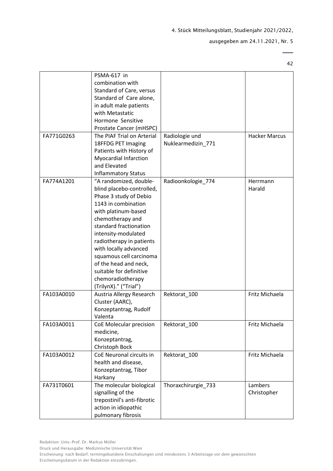ausgegeben am 24.11.2021, Nr. 5

42

 $\overline{\phantom{a}}$ 

|            | PSMA-617 in<br>combination with<br>Standard of Care, versus<br>Standard of Care alone,<br>in adult male patients<br>with Metastatic<br>Hormone Sensitive<br>Prostate Cancer (mHSPC)                                                                                                                                                                                                |                                      |                        |
|------------|------------------------------------------------------------------------------------------------------------------------------------------------------------------------------------------------------------------------------------------------------------------------------------------------------------------------------------------------------------------------------------|--------------------------------------|------------------------|
| FA771G0263 | The PIAF Trial on Arterial<br>18FFDG PET Imaging<br>Patients with History of<br><b>Myocardial Infarction</b><br>and Elevated<br><b>Inflammatory Status</b>                                                                                                                                                                                                                         | Radiologie und<br>Nuklearmedizin_771 | <b>Hacker Marcus</b>   |
| FA774A1201 | "A randomized, double-<br>blind placebo-controlled,<br>Phase 3 study of Debio<br>1143 in combination<br>with platinum-based<br>chemotherapy and<br>standard fractionation<br>intensity-modulated<br>radiotherapy in patients<br>with locally advanced<br>squamous cell carcinoma<br>of the head and neck,<br>suitable for definitive<br>chemoradiotherapy<br>(TrilynX)." ("Trial") | Radioonkologie_774                   | Herrmann<br>Harald     |
| FA103A0010 | Austria Allergy Research<br>Cluster (AARC),<br>Konzeptantrag, Rudolf<br>Valenta                                                                                                                                                                                                                                                                                                    | Rektorat_100                         | Fritz Michaela         |
| FA103A0011 | CoE Molecular precision<br>medicine,<br>Konzeptantrag,<br>Christoph Bock                                                                                                                                                                                                                                                                                                           | Rektorat 100                         | Fritz Michaela         |
| FA103A0012 | CoE Neuronal circuits in<br>health and disease,<br>Konzeptantrag, Tibor<br>Harkany                                                                                                                                                                                                                                                                                                 | Rektorat_100                         | Fritz Michaela         |
| FA731T0601 | The molecular biological<br>signalling of the<br>trepostinil's anti-fibrotic<br>action in idiopathic<br>pulmonary fibrosis                                                                                                                                                                                                                                                         | Thoraxchirurgie_733                  | Lambers<br>Christopher |

Druck und Herausgabe: Medizinische Universität Wien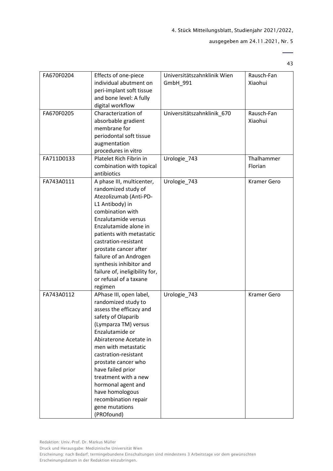#### ausgegeben am 24.11.2021, Nr. 5

43

| FA670F0204 | Effects of one-piece<br>individual abutment on<br>peri-implant soft tissue<br>and bone level: A fully<br>digital workflow                                                                                                                                                                                                                                                                | Universitätszahnklinik Wien<br>GmbH_991 | Rausch-Fan<br>Xiaohui |
|------------|------------------------------------------------------------------------------------------------------------------------------------------------------------------------------------------------------------------------------------------------------------------------------------------------------------------------------------------------------------------------------------------|-----------------------------------------|-----------------------|
| FA670F0205 | Characterization of<br>absorbable gradient<br>membrane for<br>periodontal soft tissue<br>augmentation<br>procedures in vitro                                                                                                                                                                                                                                                             | Universitätszahnklinik_670              | Rausch-Fan<br>Xiaohui |
| FA711D0133 | Platelet Rich Fibrin in<br>combination with topical<br>antibiotics                                                                                                                                                                                                                                                                                                                       | Urologie_743                            | Thalhammer<br>Florian |
| FA743A0111 | A phase III, multicenter,<br>randomized study of<br>Atezolizumab (Anti-PD-<br>L1 Antibody) in<br>combination with<br>Enzalutamide versus<br>Enzalutamide alone in<br>patients with metastatic<br>castration-resistant<br>prostate cancer after<br>failure of an Androgen<br>synthesis inhibitor and<br>failure of, ineligibility for,<br>or refusal of a taxane<br>regimen               | Urologie 743                            | <b>Kramer Gero</b>    |
| FA743A0112 | APhase III, open label,<br>randomized study to<br>assess the efficacy and<br>safety of Olaparib<br>(Lymparza TM) versus<br>Enzalutamide or<br>Abiraterone Acetate in<br>men with metastatic<br>castration-resistant<br>prostate cancer who<br>have failed prior<br>treatment with a new<br>hormonal agent and<br>have homologous<br>recombination repair<br>gene mutations<br>(PROfound) | Urologie_743                            | <b>Kramer Gero</b>    |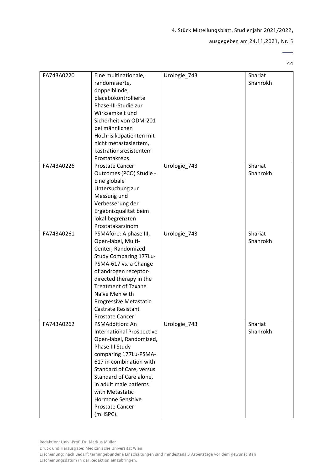#### ausgegeben am 24.11.2021, Nr. 5

44

| FA743A0220 | Eine multinationale,<br>randomisierte,<br>doppelblinde,<br>placebokontrollierte<br>Phase-III-Studie zur<br>Wirksamkeit und<br>Sicherheit von ODM-201<br>bei männlichen<br>Hochrisikopatienten mit<br>nicht metastasiertem,                                                                                                  | Urologie_743 | Shariat<br>Shahrokh |
|------------|-----------------------------------------------------------------------------------------------------------------------------------------------------------------------------------------------------------------------------------------------------------------------------------------------------------------------------|--------------|---------------------|
|            | kastrationsresistentem<br>Prostatakrebs                                                                                                                                                                                                                                                                                     |              |                     |
| FA743A0226 | <b>Prostate Cancer</b><br>Outcomes (PCO) Studie -<br>Eine globale<br>Untersuchung zur<br>Messung und<br>Verbesserung der<br>Ergebnisqualität beim<br>lokal begrenzten<br>Prostatakarzinom                                                                                                                                   | Urologie_743 | Shariat<br>Shahrokh |
| FA743A0261 | PSMAfore: A phase III,<br>Open-label, Multi-<br>Center, Randomized<br>Study Comparing 177Lu-<br>PSMA-617 vs. a Change<br>of androgen receptor-<br>directed therapy in the<br><b>Treatment of Taxane</b><br>Naïve Men with<br>Progressive Metastatic<br><b>Castrate Resistant</b><br>Prostate Cancer                         | Urologie_743 | Shariat<br>Shahrokh |
| FA743A0262 | PSMAddition: An<br><b>International Prospective</b><br>Open-label, Randomized,<br>Phase III Study<br>comparing 177Lu-PSMA-<br>617 in combination with<br>Standard of Care, versus<br>Standard of Care alone,<br>in adult male patients<br>with Metastatic<br><b>Hormone Sensitive</b><br><b>Prostate Cancer</b><br>(mHSPC). | Urologie_743 | Shariat<br>Shahrokh |